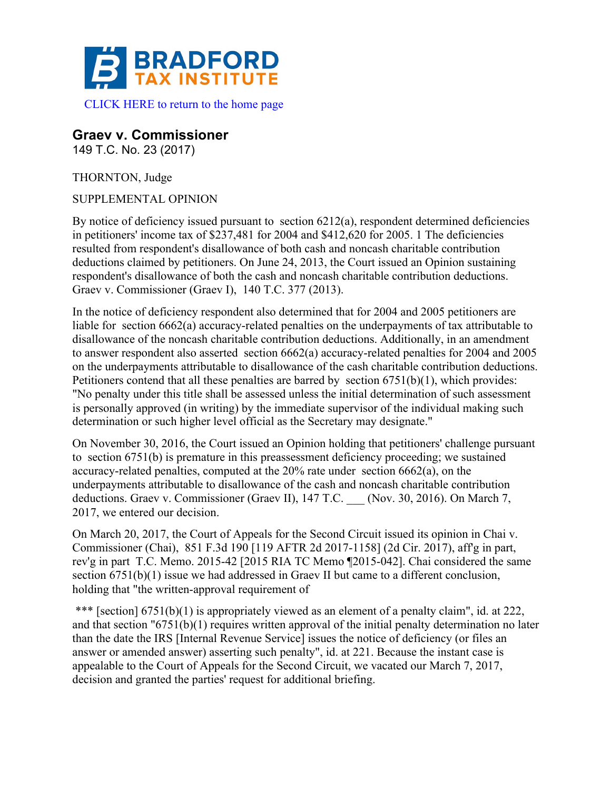

# **Graev v. Commissioner**

149 T.C. No. 23 (2017)

THORNTON, Judge

SUPPLEMENTAL OPINION

By notice of deficiency issued pursuant to section  $6212(a)$ , respondent determined deficiencies in petitioners' income tax of \$237,481 for 2004 and \$412,620 for 2005. 1 The deficiencies resulted from respondent's disallowance of both cash and noncash charitable contribution deductions claimed by petitioners. On June 24, 2013, the Court issued an Opinion sustaining respondent's disallowance of both the cash and noncash charitable contribution deductions. Graev v. Commissioner (Graev I), 140 T.C. 377 (2013).

In the notice of deficiency respondent also determined that for 2004 and 2005 petitioners are liable for section 6662(a) accuracy-related penalties on the underpayments of tax attributable to disallowance of the noncash charitable contribution deductions. Additionally, in an amendment to answer respondent also asserted section 6662(a) accuracy-related penalties for 2004 and 2005 on the underpayments attributable to disallowance of the cash charitable contribution deductions. Petitioners contend that all these penalties are barred by section 6751(b)(1), which provides: "No penalty under this title shall be assessed unless the initial determination of such assessment is personally approved (in writing) by the immediate supervisor of the individual making such determination or such higher level official as the Secretary may designate."

On November 30, 2016, the Court issued an Opinion holding that petitioners' challenge pursuant to section 6751(b) is premature in this preassessment deficiency proceeding; we sustained accuracy-related penalties, computed at the 20% rate under section 6662(a), on the underpayments attributable to disallowance of the cash and noncash charitable contribution deductions. Graev v. Commissioner (Graev II), 147 T.C. \_\_ (Nov. 30, 2016). On March 7, 2017, we entered our decision.

On March 20, 2017, the Court of Appeals for the Second Circuit issued its opinion in Chai v. Commissioner (Chai), 851 F.3d 190 [119 AFTR 2d 2017-1158] (2d Cir. 2017), aff'g in part, rev'g in part T.C. Memo. 2015-42 [2015 RIA TC Memo ¶2015-042]. Chai considered the same section 6751(b)(1) issue we had addressed in Graev II but came to a different conclusion, holding that "the written-approval requirement of

\*\*\* [section] 6751(b)(1) is appropriately viewed as an element of a penalty claim", id. at 222, and that section "6751(b)(1) requires written approval of the initial penalty determination no later than the date the IRS [Internal Revenue Service] issues the notice of deficiency (or files an answer or amended answer) asserting such penalty", id. at 221. Because the instant case is appealable to the Court of Appeals for the Second Circuit, we vacated our March 7, 2017, decision and granted the parties' request for additional briefing.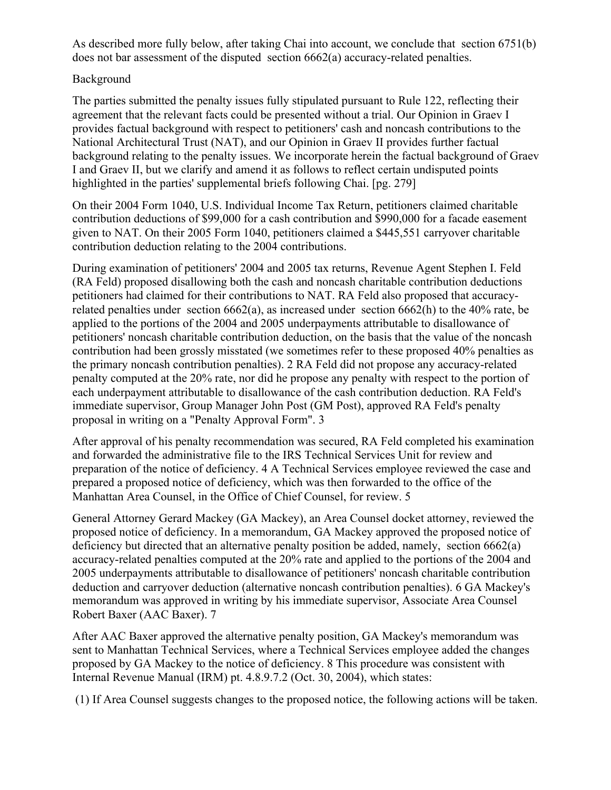As described more fully below, after taking Chai into account, we conclude that section 6751(b) does not bar assessment of the disputed section 6662(a) accuracy-related penalties.

# Background

The parties submitted the penalty issues fully stipulated pursuant to Rule 122, reflecting their agreement that the relevant facts could be presented without a trial. Our Opinion in Graev I provides factual background with respect to petitioners' cash and noncash contributions to the National Architectural Trust (NAT), and our Opinion in Graev II provides further factual background relating to the penalty issues. We incorporate herein the factual background of Graev I and Graev II, but we clarify and amend it as follows to reflect certain undisputed points highlighted in the parties' supplemental briefs following Chai. [pg. 279]

On their 2004 Form 1040, U.S. Individual Income Tax Return, petitioners claimed charitable contribution deductions of \$99,000 for a cash contribution and \$990,000 for a facade easement given to NAT. On their 2005 Form 1040, petitioners claimed a \$445,551 carryover charitable contribution deduction relating to the 2004 contributions.

During examination of petitioners' 2004 and 2005 tax returns, Revenue Agent Stephen I. Feld (RA Feld) proposed disallowing both the cash and noncash charitable contribution deductions petitioners had claimed for their contributions to NAT. RA Feld also proposed that accuracyrelated penalties under section 6662(a), as increased under section 6662(h) to the 40% rate, be applied to the portions of the 2004 and 2005 underpayments attributable to disallowance of petitioners' noncash charitable contribution deduction, on the basis that the value of the noncash contribution had been grossly misstated (we sometimes refer to these proposed 40% penalties as the primary noncash contribution penalties). 2 RA Feld did not propose any accuracy-related penalty computed at the 20% rate, nor did he propose any penalty with respect to the portion of each underpayment attributable to disallowance of the cash contribution deduction. RA Feld's immediate supervisor, Group Manager John Post (GM Post), approved RA Feld's penalty proposal in writing on a "Penalty Approval Form". 3

After approval of his penalty recommendation was secured, RA Feld completed his examination and forwarded the administrative file to the IRS Technical Services Unit for review and preparation of the notice of deficiency. 4 A Technical Services employee reviewed the case and prepared a proposed notice of deficiency, which was then forwarded to the office of the Manhattan Area Counsel, in the Office of Chief Counsel, for review. 5

General Attorney Gerard Mackey (GA Mackey), an Area Counsel docket attorney, reviewed the proposed notice of deficiency. In a memorandum, GA Mackey approved the proposed notice of deficiency but directed that an alternative penalty position be added, namely, section 6662(a) accuracy-related penalties computed at the 20% rate and applied to the portions of the 2004 and 2005 underpayments attributable to disallowance of petitioners' noncash charitable contribution deduction and carryover deduction (alternative noncash contribution penalties). 6 GA Mackey's memorandum was approved in writing by his immediate supervisor, Associate Area Counsel Robert Baxer (AAC Baxer). 7

After AAC Baxer approved the alternative penalty position, GA Mackey's memorandum was sent to Manhattan Technical Services, where a Technical Services employee added the changes proposed by GA Mackey to the notice of deficiency. 8 This procedure was consistent with Internal Revenue Manual (IRM) pt. 4.8.9.7.2 (Oct. 30, 2004), which states:

(1) If Area Counsel suggests changes to the proposed notice, the following actions will be taken.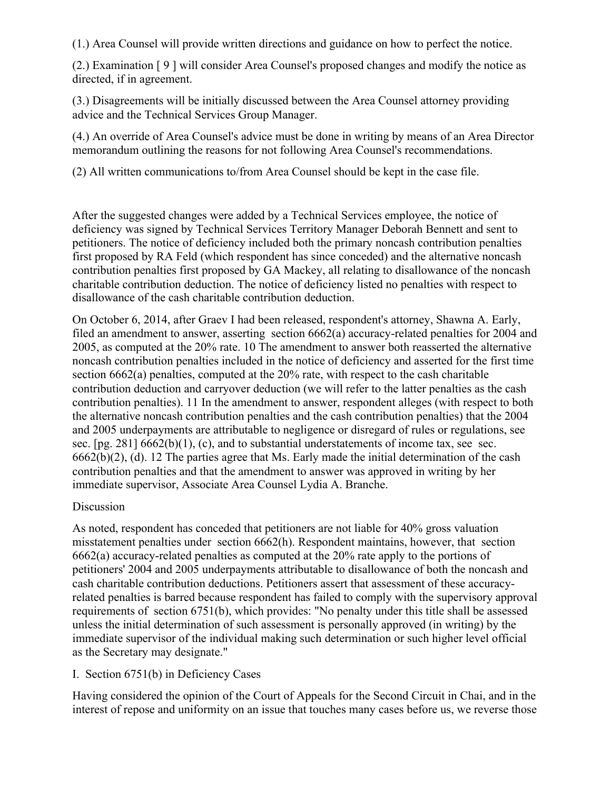(1.) Area Counsel will provide written directions and guidance on how to perfect the notice.

(2.) Examination [ 9 ] will consider Area Counsel's proposed changes and modify the notice as directed, if in agreement.

(3.) Disagreements will be initially discussed between the Area Counsel attorney providing advice and the Technical Services Group Manager.

(4.) An override of Area Counsel's advice must be done in writing by means of an Area Director memorandum outlining the reasons for not following Area Counsel's recommendations.

(2) All written communications to/from Area Counsel should be kept in the case file.

After the suggested changes were added by a Technical Services employee, the notice of deficiency was signed by Technical Services Territory Manager Deborah Bennett and sent to petitioners. The notice of deficiency included both the primary noncash contribution penalties first proposed by RA Feld (which respondent has since conceded) and the alternative noncash contribution penalties first proposed by GA Mackey, all relating to disallowance of the noncash charitable contribution deduction. The notice of deficiency listed no penalties with respect to disallowance of the cash charitable contribution deduction.

On October 6, 2014, after Graev I had been released, respondent's attorney, Shawna A. Early, filed an amendment to answer, asserting section 6662(a) accuracy-related penalties for 2004 and 2005, as computed at the 20% rate. 10 The amendment to answer both reasserted the alternative noncash contribution penalties included in the notice of deficiency and asserted for the first time section 6662(a) penalties, computed at the 20% rate, with respect to the cash charitable contribution deduction and carryover deduction (we will refer to the latter penalties as the cash contribution penalties). 11 In the amendment to answer, respondent alleges (with respect to both the alternative noncash contribution penalties and the cash contribution penalties) that the 2004 and 2005 underpayments are attributable to negligence or disregard of rules or regulations, see sec. [pg. 281]  $6662(b)(1)$ , (c), and to substantial understatements of income tax, see sec. 6662(b)(2), (d). 12 The parties agree that Ms. Early made the initial determination of the cash contribution penalties and that the amendment to answer was approved in writing by her immediate supervisor, Associate Area Counsel Lydia A. Branche.

# Discussion

As noted, respondent has conceded that petitioners are not liable for 40% gross valuation misstatement penalties under section 6662(h). Respondent maintains, however, that section 6662(a) accuracy-related penalties as computed at the 20% rate apply to the portions of petitioners' 2004 and 2005 underpayments attributable to disallowance of both the noncash and cash charitable contribution deductions. Petitioners assert that assessment of these accuracyrelated penalties is barred because respondent has failed to comply with the supervisory approval requirements of section 6751(b), which provides: "No penalty under this title shall be assessed unless the initial determination of such assessment is personally approved (in writing) by the immediate supervisor of the individual making such determination or such higher level official as the Secretary may designate."

# I. Section 6751(b) in Deficiency Cases

Having considered the opinion of the Court of Appeals for the Second Circuit in Chai, and in the interest of repose and uniformity on an issue that touches many cases before us, we reverse those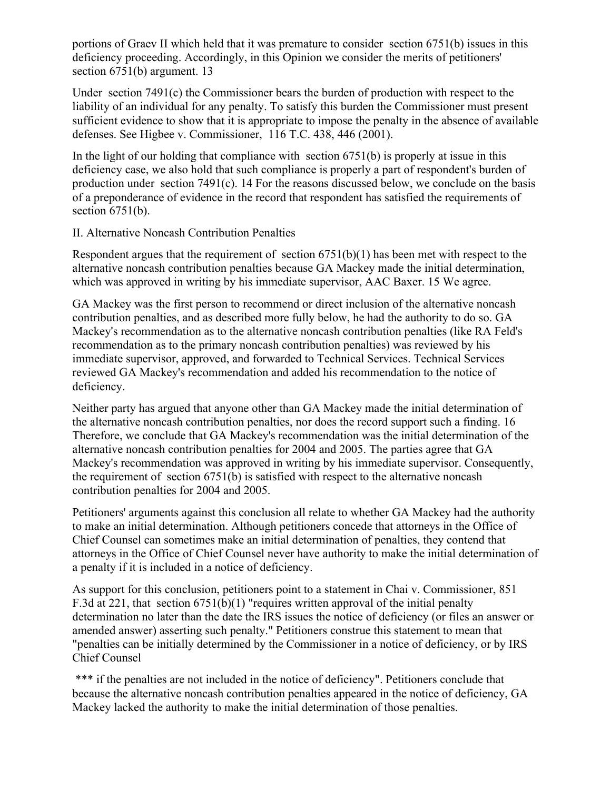portions of Graev II which held that it was premature to consider section 6751(b) issues in this deficiency proceeding. Accordingly, in this Opinion we consider the merits of petitioners' section 6751(b) argument. 13

Under section 7491(c) the Commissioner bears the burden of production with respect to the liability of an individual for any penalty. To satisfy this burden the Commissioner must present sufficient evidence to show that it is appropriate to impose the penalty in the absence of available defenses. See Higbee v. Commissioner, 116 T.C. 438, 446 (2001).

In the light of our holding that compliance with section  $6751(b)$  is properly at issue in this deficiency case, we also hold that such compliance is properly a part of respondent's burden of production under section 7491(c). 14 For the reasons discussed below, we conclude on the basis of a preponderance of evidence in the record that respondent has satisfied the requirements of section  $6751(b)$ .

#### II. Alternative Noncash Contribution Penalties

Respondent argues that the requirement of section 6751(b)(1) has been met with respect to the alternative noncash contribution penalties because GA Mackey made the initial determination, which was approved in writing by his immediate supervisor, AAC Baxer. 15 We agree.

GA Mackey was the first person to recommend or direct inclusion of the alternative noncash contribution penalties, and as described more fully below, he had the authority to do so. GA Mackey's recommendation as to the alternative noncash contribution penalties (like RA Feld's recommendation as to the primary noncash contribution penalties) was reviewed by his immediate supervisor, approved, and forwarded to Technical Services. Technical Services reviewed GA Mackey's recommendation and added his recommendation to the notice of deficiency.

Neither party has argued that anyone other than GA Mackey made the initial determination of the alternative noncash contribution penalties, nor does the record support such a finding. 16 Therefore, we conclude that GA Mackey's recommendation was the initial determination of the alternative noncash contribution penalties for 2004 and 2005. The parties agree that GA Mackey's recommendation was approved in writing by his immediate supervisor. Consequently, the requirement of section 6751(b) is satisfied with respect to the alternative noncash contribution penalties for 2004 and 2005.

Petitioners' arguments against this conclusion all relate to whether GA Mackey had the authority to make an initial determination. Although petitioners concede that attorneys in the Office of Chief Counsel can sometimes make an initial determination of penalties, they contend that attorneys in the Office of Chief Counsel never have authority to make the initial determination of a penalty if it is included in a notice of deficiency.

As support for this conclusion, petitioners point to a statement in Chai v. Commissioner, 851 F.3d at 221, that section 6751(b)(1) "requires written approval of the initial penalty determination no later than the date the IRS issues the notice of deficiency (or files an answer or amended answer) asserting such penalty." Petitioners construe this statement to mean that "penalties can be initially determined by the Commissioner in a notice of deficiency, or by IRS Chief Counsel

\*\*\* if the penalties are not included in the notice of deficiency". Petitioners conclude that because the alternative noncash contribution penalties appeared in the notice of deficiency, GA Mackey lacked the authority to make the initial determination of those penalties.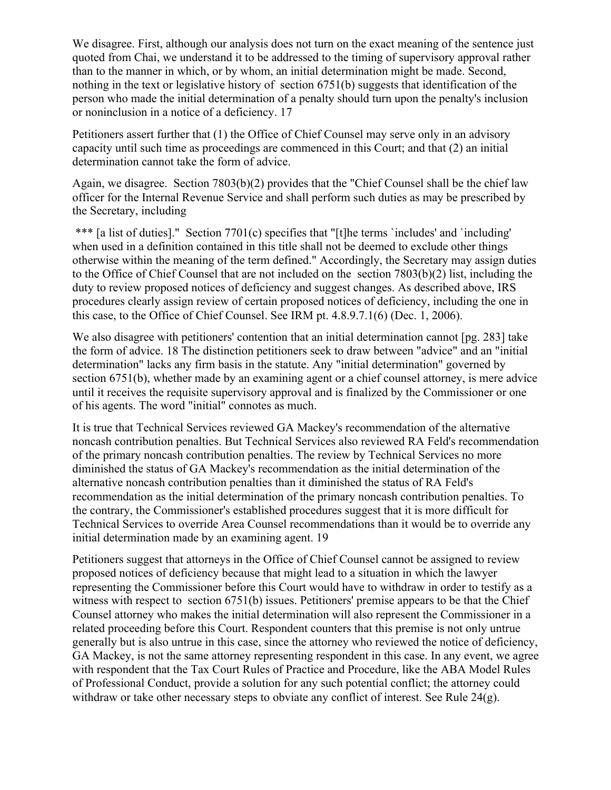We disagree. First, although our analysis does not turn on the exact meaning of the sentence just quoted from Chai, we understand it to be addressed to the timing of supervisory approval rather than to the manner in which, or by whom, an initial determination might be made. Second, nothing in the text or legislative history of section 6751(b) suggests that identification of the person who made the initial determination of a penalty should turn upon the penalty's inclusion or noninclusion in a notice of a deficiency. 17

Petitioners assert further that (1) the Office of Chief Counsel may serve only in an advisory capacity until such time as proceedings are commenced in this Court; and that (2) an initial determination cannot take the form of advice.

Again, we disagree. Section 7803(b)(2) provides that the "Chief Counsel shall be the chief law officer for the Internal Revenue Service and shall perform such duties as may be prescribed by the Secretary, including

\*\*\* [a list of duties]." Section 7701(c) specifies that "[t]he terms `includes' and `including' when used in a definition contained in this title shall not be deemed to exclude other things otherwise within the meaning of the term defined." Accordingly, the Secretary may assign duties to the Office of Chief Counsel that are not included on the section 7803(b)(2) list, including the duty to review proposed notices of deficiency and suggest changes. As described above, IRS procedures clearly assign review of certain proposed notices of deficiency, including the one in this case, to the Office of Chief Counsel. See IRM pt. 4.8.9.7.1(6) (Dec. 1, 2006).

We also disagree with petitioners' contention that an initial determination cannot [pg. 283] take the form of advice. 18 The distinction petitioners seek to draw between "advice" and an "initial determination" lacks any firm basis in the statute. Any "initial determination" governed by section 6751(b), whether made by an examining agent or a chief counsel attorney, is mere advice until it receives the requisite supervisory approval and is finalized by the Commissioner or one of his agents. The word "initial" connotes as much.

It is true that Technical Services reviewed GA Mackey's recommendation of the alternative noncash contribution penalties. But Technical Services also reviewed RA Feld's recommendation of the primary noncash contribution penalties. The review by Technical Services no more diminished the status of GA Mackey's recommendation as the initial determination of the alternative noncash contribution penalties than it diminished the status of RA Feld's recommendation as the initial determination of the primary noncash contribution penalties. To the contrary, the Commissioner's established procedures suggest that it is more difficult for Technical Services to override Area Counsel recommendations than it would be to override any initial determination made by an examining agent. 19

Petitioners suggest that attorneys in the Office of Chief Counsel cannot be assigned to review proposed notices of deficiency because that might lead to a situation in which the lawyer representing the Commissioner before this Court would have to withdraw in order to testify as a witness with respect to section 6751(b) issues. Petitioners' premise appears to be that the Chief Counsel attorney who makes the initial determination will also represent the Commissioner in a related proceeding before this Court. Respondent counters that this premise is not only untrue generally but is also untrue in this case, since the attorney who reviewed the notice of deficiency, GA Mackey, is not the same attorney representing respondent in this case. In any event, we agree with respondent that the Tax Court Rules of Practice and Procedure, like the ABA Model Rules of Professional Conduct, provide a solution for any such potential conflict; the attorney could withdraw or take other necessary steps to obviate any conflict of interest. See Rule 24(g).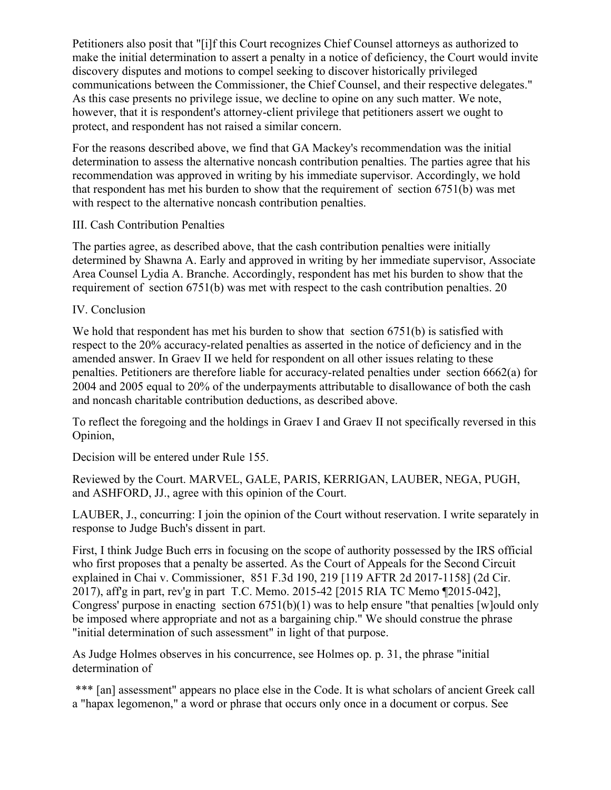Petitioners also posit that "[i]f this Court recognizes Chief Counsel attorneys as authorized to make the initial determination to assert a penalty in a notice of deficiency, the Court would invite discovery disputes and motions to compel seeking to discover historically privileged communications between the Commissioner, the Chief Counsel, and their respective delegates." As this case presents no privilege issue, we decline to opine on any such matter. We note, however, that it is respondent's attorney-client privilege that petitioners assert we ought to protect, and respondent has not raised a similar concern.

For the reasons described above, we find that GA Mackey's recommendation was the initial determination to assess the alternative noncash contribution penalties. The parties agree that his recommendation was approved in writing by his immediate supervisor. Accordingly, we hold that respondent has met his burden to show that the requirement of section 6751(b) was met with respect to the alternative noncash contribution penalties.

# III. Cash Contribution Penalties

The parties agree, as described above, that the cash contribution penalties were initially determined by Shawna A. Early and approved in writing by her immediate supervisor, Associate Area Counsel Lydia A. Branche. Accordingly, respondent has met his burden to show that the requirement of section 6751(b) was met with respect to the cash contribution penalties. 20

# IV. Conclusion

We hold that respondent has met his burden to show that section 6751(b) is satisfied with respect to the 20% accuracy-related penalties as asserted in the notice of deficiency and in the amended answer. In Graev II we held for respondent on all other issues relating to these penalties. Petitioners are therefore liable for accuracy-related penalties under section 6662(a) for 2004 and 2005 equal to 20% of the underpayments attributable to disallowance of both the cash and noncash charitable contribution deductions, as described above.

To reflect the foregoing and the holdings in Graev I and Graev II not specifically reversed in this Opinion,

Decision will be entered under Rule 155.

Reviewed by the Court. MARVEL, GALE, PARIS, KERRIGAN, LAUBER, NEGA, PUGH, and ASHFORD, JJ., agree with this opinion of the Court.

LAUBER, J., concurring: I join the opinion of the Court without reservation. I write separately in response to Judge Buch's dissent in part.

First, I think Judge Buch errs in focusing on the scope of authority possessed by the IRS official who first proposes that a penalty be asserted. As the Court of Appeals for the Second Circuit explained in Chai v. Commissioner, 851 F.3d 190, 219 [119 AFTR 2d 2017-1158] (2d Cir. 2017), aff'g in part, rev'g in part T.C. Memo. 2015-42 [2015 RIA TC Memo ¶2015-042], Congress' purpose in enacting section 6751(b)(1) was to help ensure "that penalties [w]ould only be imposed where appropriate and not as a bargaining chip." We should construe the phrase "initial determination of such assessment" in light of that purpose.

As Judge Holmes observes in his concurrence, see Holmes op. p. 31, the phrase "initial determination of

\*\*\* [an] assessment" appears no place else in the Code. It is what scholars of ancient Greek call a "hapax legomenon," a word or phrase that occurs only once in a document or corpus. See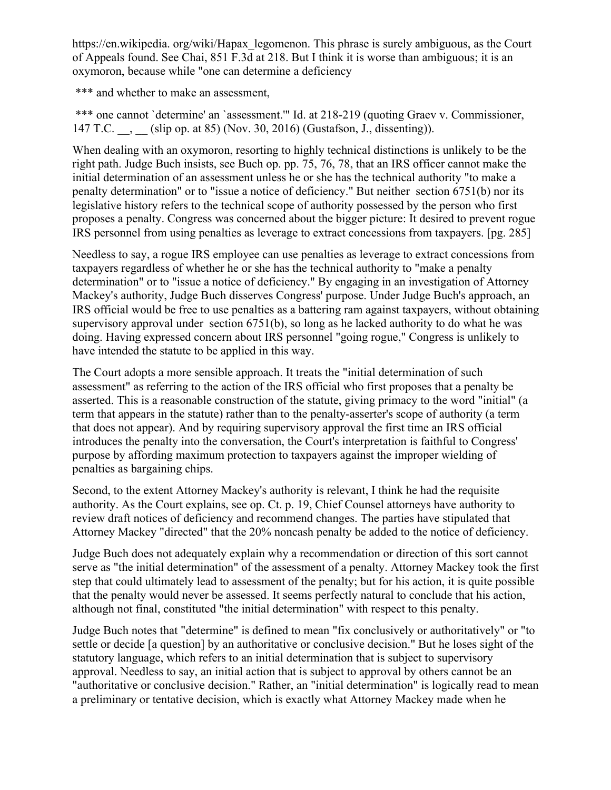https://en.wikipedia. org/wiki/Hapax\_legomenon. This phrase is surely ambiguous, as the Court of Appeals found. See Chai, 851 F.3d at 218. But I think it is worse than ambiguous; it is an oxymoron, because while "one can determine a deficiency

\*\*\* and whether to make an assessment,

\*\*\* one cannot `determine' an `assessment.'" Id. at 218-219 (quoting Graev v. Commissioner, 147 T.C. \_\_, \_\_ (slip op. at 85) (Nov. 30, 2016) (Gustafson, J., dissenting)).

When dealing with an oxymoron, resorting to highly technical distinctions is unlikely to be the right path. Judge Buch insists, see Buch op. pp. 75, 76, 78, that an IRS officer cannot make the initial determination of an assessment unless he or she has the technical authority "to make a penalty determination" or to "issue a notice of deficiency." But neither section 6751(b) nor its legislative history refers to the technical scope of authority possessed by the person who first proposes a penalty. Congress was concerned about the bigger picture: It desired to prevent rogue IRS personnel from using penalties as leverage to extract concessions from taxpayers. [pg. 285]

Needless to say, a rogue IRS employee can use penalties as leverage to extract concessions from taxpayers regardless of whether he or she has the technical authority to "make a penalty determination" or to "issue a notice of deficiency." By engaging in an investigation of Attorney Mackey's authority, Judge Buch disserves Congress' purpose. Under Judge Buch's approach, an IRS official would be free to use penalties as a battering ram against taxpayers, without obtaining supervisory approval under section 6751(b), so long as he lacked authority to do what he was doing. Having expressed concern about IRS personnel "going rogue," Congress is unlikely to have intended the statute to be applied in this way.

The Court adopts a more sensible approach. It treats the "initial determination of such assessment" as referring to the action of the IRS official who first proposes that a penalty be asserted. This is a reasonable construction of the statute, giving primacy to the word "initial" (a term that appears in the statute) rather than to the penalty-asserter's scope of authority (a term that does not appear). And by requiring supervisory approval the first time an IRS official introduces the penalty into the conversation, the Court's interpretation is faithful to Congress' purpose by affording maximum protection to taxpayers against the improper wielding of penalties as bargaining chips.

Second, to the extent Attorney Mackey's authority is relevant, I think he had the requisite authority. As the Court explains, see op. Ct. p. 19, Chief Counsel attorneys have authority to review draft notices of deficiency and recommend changes. The parties have stipulated that Attorney Mackey "directed" that the 20% noncash penalty be added to the notice of deficiency.

Judge Buch does not adequately explain why a recommendation or direction of this sort cannot serve as "the initial determination" of the assessment of a penalty. Attorney Mackey took the first step that could ultimately lead to assessment of the penalty; but for his action, it is quite possible that the penalty would never be assessed. It seems perfectly natural to conclude that his action, although not final, constituted "the initial determination" with respect to this penalty.

Judge Buch notes that "determine" is defined to mean "fix conclusively or authoritatively" or "to settle or decide [a question] by an authoritative or conclusive decision." But he loses sight of the statutory language, which refers to an initial determination that is subject to supervisory approval. Needless to say, an initial action that is subject to approval by others cannot be an "authoritative or conclusive decision." Rather, an "initial determination" is logically read to mean a preliminary or tentative decision, which is exactly what Attorney Mackey made when he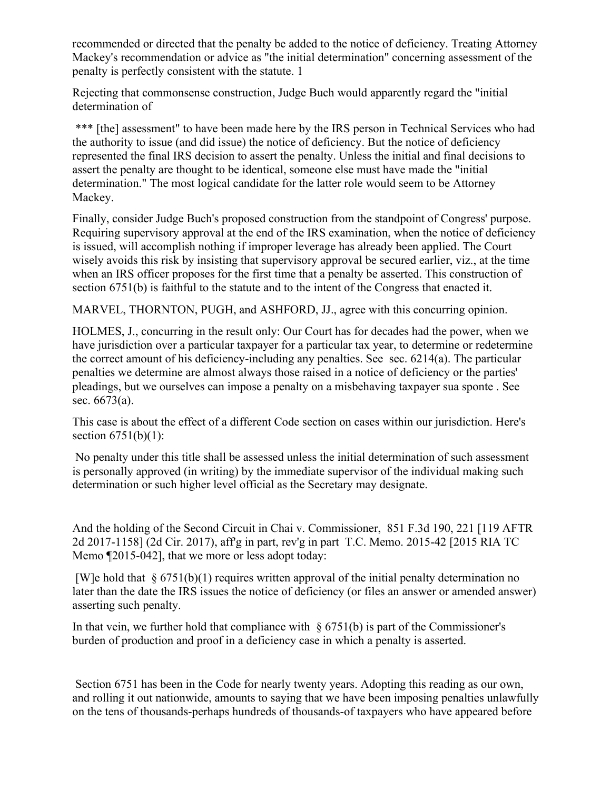recommended or directed that the penalty be added to the notice of deficiency. Treating Attorney Mackey's recommendation or advice as "the initial determination" concerning assessment of the penalty is perfectly consistent with the statute. 1

Rejecting that commonsense construction, Judge Buch would apparently regard the "initial determination of

\*\*\* [the] assessment" to have been made here by the IRS person in Technical Services who had the authority to issue (and did issue) the notice of deficiency. But the notice of deficiency represented the final IRS decision to assert the penalty. Unless the initial and final decisions to assert the penalty are thought to be identical, someone else must have made the "initial determination." The most logical candidate for the latter role would seem to be Attorney Mackey.

Finally, consider Judge Buch's proposed construction from the standpoint of Congress' purpose. Requiring supervisory approval at the end of the IRS examination, when the notice of deficiency is issued, will accomplish nothing if improper leverage has already been applied. The Court wisely avoids this risk by insisting that supervisory approval be secured earlier, viz., at the time when an IRS officer proposes for the first time that a penalty be asserted. This construction of section 6751(b) is faithful to the statute and to the intent of the Congress that enacted it.

MARVEL, THORNTON, PUGH, and ASHFORD, JJ., agree with this concurring opinion.

HOLMES, J., concurring in the result only: Our Court has for decades had the power, when we have jurisdiction over a particular taxpayer for a particular tax year, to determine or redetermine the correct amount of his deficiency-including any penalties. See sec. 6214(a). The particular penalties we determine are almost always those raised in a notice of deficiency or the parties' pleadings, but we ourselves can impose a penalty on a misbehaving taxpayer sua sponte . See sec. 6673(a).

This case is about the effect of a different Code section on cases within our jurisdiction. Here's section  $6751(b)(1)$ :

No penalty under this title shall be assessed unless the initial determination of such assessment is personally approved (in writing) by the immediate supervisor of the individual making such determination or such higher level official as the Secretary may designate.

And the holding of the Second Circuit in Chai v. Commissioner, 851 F.3d 190, 221 [119 AFTR 2d 2017-1158] (2d Cir. 2017), aff'g in part, rev'g in part T.C. Memo. 2015-42 [2015 RIA TC Memo ¶2015-042], that we more or less adopt today:

[W]e hold that  $\S 6751(b)(1)$  requires written approval of the initial penalty determination no later than the date the IRS issues the notice of deficiency (or files an answer or amended answer) asserting such penalty.

In that vein, we further hold that compliance with  $\S 6751(b)$  is part of the Commissioner's burden of production and proof in a deficiency case in which a penalty is asserted.

Section 6751 has been in the Code for nearly twenty years. Adopting this reading as our own, and rolling it out nationwide, amounts to saying that we have been imposing penalties unlawfully on the tens of thousands-perhaps hundreds of thousands-of taxpayers who have appeared before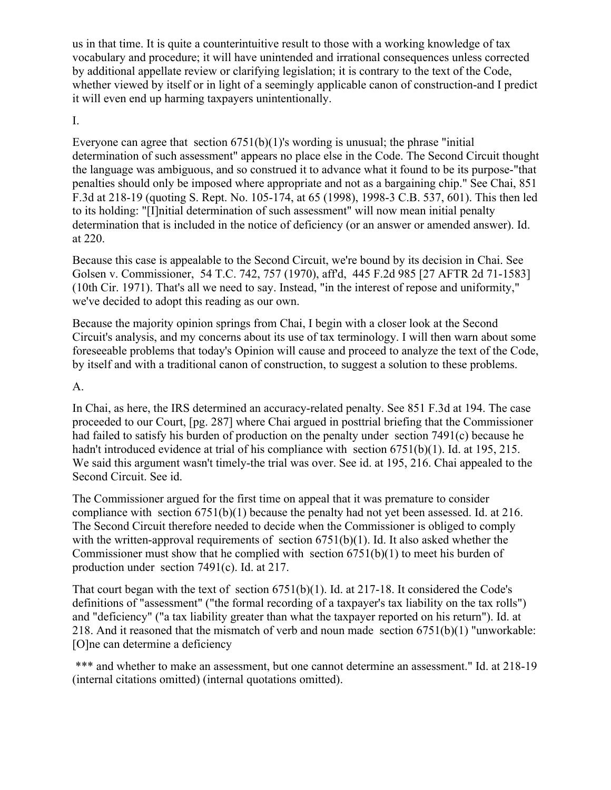us in that time. It is quite a counterintuitive result to those with a working knowledge of tax vocabulary and procedure; it will have unintended and irrational consequences unless corrected by additional appellate review or clarifying legislation; it is contrary to the text of the Code, whether viewed by itself or in light of a seemingly applicable canon of construction-and I predict it will even end up harming taxpayers unintentionally.

#### I.

Everyone can agree that section  $6751(b)(1)$ 's wording is unusual; the phrase "initial" determination of such assessment" appears no place else in the Code. The Second Circuit thought the language was ambiguous, and so construed it to advance what it found to be its purpose-"that penalties should only be imposed where appropriate and not as a bargaining chip." See Chai, 851 F.3d at 218-19 (quoting S. Rept. No. 105-174, at 65 (1998), 1998-3 C.B. 537, 601). This then led to its holding: "[I]nitial determination of such assessment" will now mean initial penalty determination that is included in the notice of deficiency (or an answer or amended answer). Id. at 220.

Because this case is appealable to the Second Circuit, we're bound by its decision in Chai. See Golsen v. Commissioner, 54 T.C. 742, 757 (1970), aff'd, 445 F.2d 985 [27 AFTR 2d 71-1583] (10th Cir. 1971). That's all we need to say. Instead, "in the interest of repose and uniformity," we've decided to adopt this reading as our own.

Because the majority opinion springs from Chai, I begin with a closer look at the Second Circuit's analysis, and my concerns about its use of tax terminology. I will then warn about some foreseeable problems that today's Opinion will cause and proceed to analyze the text of the Code, by itself and with a traditional canon of construction, to suggest a solution to these problems.

#### A.

In Chai, as here, the IRS determined an accuracy-related penalty. See 851 F.3d at 194. The case proceeded to our Court, [pg. 287] where Chai argued in posttrial briefing that the Commissioner had failed to satisfy his burden of production on the penalty under section 7491(c) because he hadn't introduced evidence at trial of his compliance with section 6751(b)(1). Id. at 195, 215. We said this argument wasn't timely-the trial was over. See id. at 195, 216. Chai appealed to the Second Circuit. See id.

The Commissioner argued for the first time on appeal that it was premature to consider compliance with section 6751(b)(1) because the penalty had not yet been assessed. Id. at 216. The Second Circuit therefore needed to decide when the Commissioner is obliged to comply with the written-approval requirements of section  $6751(b)(1)$ . Id. It also asked whether the Commissioner must show that he complied with section  $6751(b)(1)$  to meet his burden of production under section 7491(c). Id. at 217.

That court began with the text of section 6751(b)(1). Id. at 217-18. It considered the Code's definitions of "assessment" ("the formal recording of a taxpayer's tax liability on the tax rolls") and "deficiency" ("a tax liability greater than what the taxpayer reported on his return"). Id. at 218. And it reasoned that the mismatch of verb and noun made section  $6751(b)(1)$  "unworkable: [O]ne can determine a deficiency

\*\*\* and whether to make an assessment, but one cannot determine an assessment." Id. at 218-19 (internal citations omitted) (internal quotations omitted).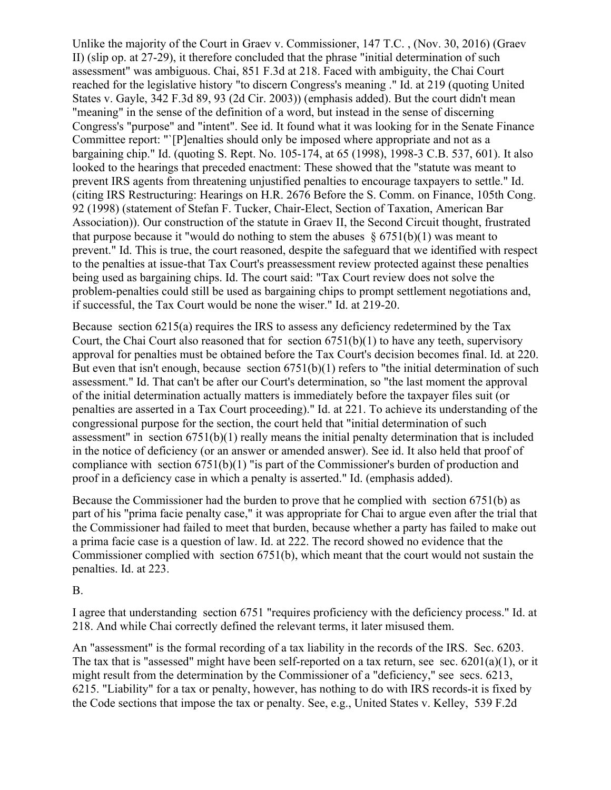Unlike the majority of the Court in Graev v. Commissioner, 147 T.C. , (Nov. 30, 2016) (Graev II) (slip op. at 27-29), it therefore concluded that the phrase "initial determination of such assessment" was ambiguous. Chai, 851 F.3d at 218. Faced with ambiguity, the Chai Court reached for the legislative history "to discern Congress's meaning ." Id. at 219 (quoting United States v. Gayle, 342 F.3d 89, 93 (2d Cir. 2003)) (emphasis added). But the court didn't mean "meaning" in the sense of the definition of a word, but instead in the sense of discerning Congress's "purpose" and "intent". See id. It found what it was looking for in the Senate Finance Committee report: "`[P]enalties should only be imposed where appropriate and not as a bargaining chip." Id. (quoting S. Rept. No. 105-174, at 65 (1998), 1998-3 C.B. 537, 601). It also looked to the hearings that preceded enactment: These showed that the "statute was meant to prevent IRS agents from threatening unjustified penalties to encourage taxpayers to settle." Id. (citing IRS Restructuring: Hearings on H.R. 2676 Before the S. Comm. on Finance, 105th Cong. 92 (1998) (statement of Stefan F. Tucker, Chair-Elect, Section of Taxation, American Bar Association)). Our construction of the statute in Graev II, the Second Circuit thought, frustrated that purpose because it "would do nothing to stem the abuses  $\S 6751(b)(1)$  was meant to prevent." Id. This is true, the court reasoned, despite the safeguard that we identified with respect to the penalties at issue-that Tax Court's preassessment review protected against these penalties being used as bargaining chips. Id. The court said: "Tax Court review does not solve the problem-penalties could still be used as bargaining chips to prompt settlement negotiations and, if successful, the Tax Court would be none the wiser." Id. at 219-20.

Because section 6215(a) requires the IRS to assess any deficiency redetermined by the Tax Court, the Chai Court also reasoned that for section  $6751(b)(1)$  to have any teeth, supervisory approval for penalties must be obtained before the Tax Court's decision becomes final. Id. at 220. But even that isn't enough, because section 6751(b)(1) refers to "the initial determination of such assessment." Id. That can't be after our Court's determination, so "the last moment the approval of the initial determination actually matters is immediately before the taxpayer files suit (or penalties are asserted in a Tax Court proceeding)." Id. at 221. To achieve its understanding of the congressional purpose for the section, the court held that "initial determination of such assessment" in section 6751(b)(1) really means the initial penalty determination that is included in the notice of deficiency (or an answer or amended answer). See id. It also held that proof of compliance with section 6751(b)(1) "is part of the Commissioner's burden of production and proof in a deficiency case in which a penalty is asserted." Id. (emphasis added).

Because the Commissioner had the burden to prove that he complied with section 6751(b) as part of his "prima facie penalty case," it was appropriate for Chai to argue even after the trial that the Commissioner had failed to meet that burden, because whether a party has failed to make out a prima facie case is a question of law. Id. at 222. The record showed no evidence that the Commissioner complied with section 6751(b), which meant that the court would not sustain the penalties. Id. at 223.

B.

I agree that understanding section 6751 "requires proficiency with the deficiency process." Id. at 218. And while Chai correctly defined the relevant terms, it later misused them.

An "assessment" is the formal recording of a tax liability in the records of the IRS. Sec. 6203. The tax that is "assessed" might have been self-reported on a tax return, see sec. 6201(a)(1), or it might result from the determination by the Commissioner of a "deficiency," see secs. 6213, 6215. "Liability" for a tax or penalty, however, has nothing to do with IRS records-it is fixed by the Code sections that impose the tax or penalty. See, e.g., United States v. Kelley, 539 F.2d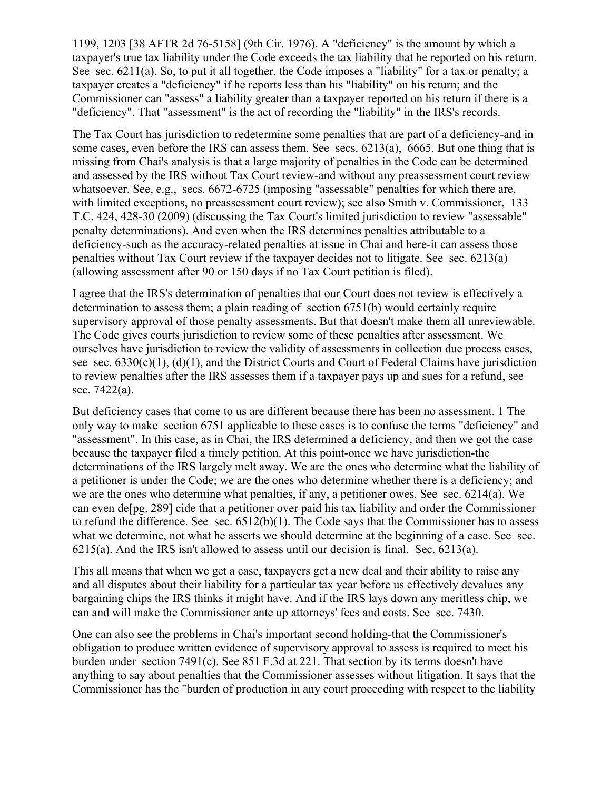1199, 1203 [38 AFTR 2d 76-5158] (9th Cir. 1976). A "deficiency" is the amount by which a taxpayer's true tax liability under the Code exceeds the tax liability that he reported on his return. See sec. 6211(a). So, to put it all together, the Code imposes a "liability" for a tax or penalty; a taxpayer creates a "deficiency" if he reports less than his "liability" on his return; and the Commissioner can "assess" a liability greater than a taxpayer reported on his return if there is a "deficiency". That "assessment" is the act of recording the "liability" in the IRS's records.

The Tax Court has jurisdiction to redetermine some penalties that are part of a deficiency-and in some cases, even before the IRS can assess them. See secs. 6213(a), 6665. But one thing that is missing from Chai's analysis is that a large majority of penalties in the Code can be determined and assessed by the IRS without Tax Court review-and without any preassessment court review whatsoever. See, e.g., secs. 6672-6725 (imposing "assessable" penalties for which there are, with limited exceptions, no preassessment court review); see also Smith v. Commissioner, 133 T.C. 424, 428-30 (2009) (discussing the Tax Court's limited jurisdiction to review "assessable" penalty determinations). And even when the IRS determines penalties attributable to a deficiency-such as the accuracy-related penalties at issue in Chai and here-it can assess those penalties without Tax Court review if the taxpayer decides not to litigate. See sec. 6213(a) (allowing assessment after 90 or 150 days if no Tax Court petition is filed).

I agree that the IRS's determination of penalties that our Court does not review is effectively a determination to assess them; a plain reading of section 6751(b) would certainly require supervisory approval of those penalty assessments. But that doesn't make them all unreviewable. The Code gives courts jurisdiction to review some of these penalties after assessment. We ourselves have jurisdiction to review the validity of assessments in collection due process cases, see sec.  $6330(c)(1)$ ,  $(d)(1)$ , and the District Courts and Court of Federal Claims have jurisdiction to review penalties after the IRS assesses them if a taxpayer pays up and sues for a refund, see sec. 7422(a).

But deficiency cases that come to us are different because there has been no assessment. 1 The only way to make section 6751 applicable to these cases is to confuse the terms "deficiency" and "assessment". In this case, as in Chai, the IRS determined a deficiency, and then we got the case because the taxpayer filed a timely petition. At this point-once we have jurisdiction-the determinations of the IRS largely melt away. We are the ones who determine what the liability of a petitioner is under the Code; we are the ones who determine whether there is a deficiency; and we are the ones who determine what penalties, if any, a petitioner owes. See sec. 6214(a). We can even de[pg. 289] cide that a petitioner over paid his tax liability and order the Commissioner to refund the difference. See sec. 6512(b)(1). The Code says that the Commissioner has to assess what we determine, not what he asserts we should determine at the beginning of a case. See sec. 6215(a). And the IRS isn't allowed to assess until our decision is final. Sec. 6213(a).

This all means that when we get a case, taxpayers get a new deal and their ability to raise any and all disputes about their liability for a particular tax year before us effectively devalues any bargaining chips the IRS thinks it might have. And if the IRS lays down any meritless chip, we can and will make the Commissioner ante up attorneys' fees and costs. See sec. 7430.

One can also see the problems in Chai's important second holding-that the Commissioner's obligation to produce written evidence of supervisory approval to assess is required to meet his burden under section 7491(c). See 851 F.3d at 221. That section by its terms doesn't have anything to say about penalties that the Commissioner assesses without litigation. It says that the Commissioner has the "burden of production in any court proceeding with respect to the liability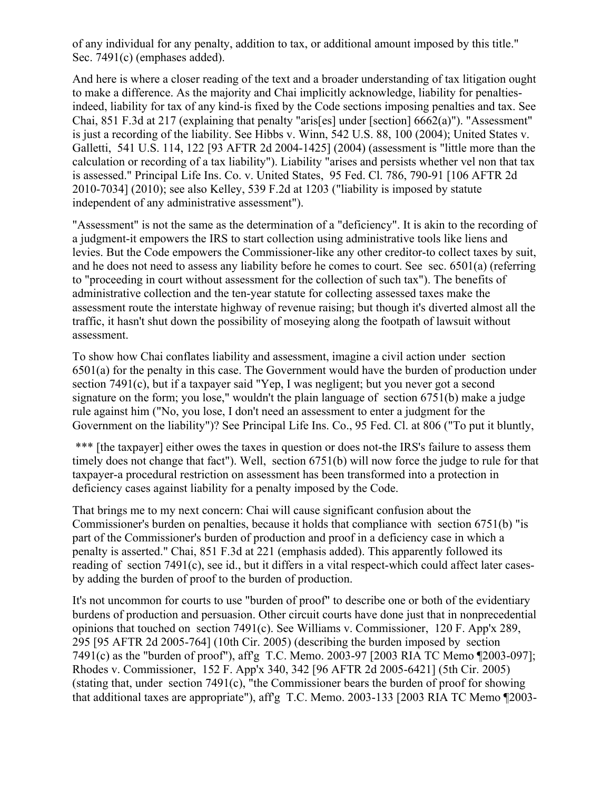of any individual for any penalty, addition to tax, or additional amount imposed by this title." Sec. 7491(c) (emphases added).

And here is where a closer reading of the text and a broader understanding of tax litigation ought to make a difference. As the majority and Chai implicitly acknowledge, liability for penaltiesindeed, liability for tax of any kind-is fixed by the Code sections imposing penalties and tax. See Chai, 851 F.3d at 217 (explaining that penalty "aris[es] under [section] 6662(a)"). "Assessment" is just a recording of the liability. See Hibbs v. Winn, 542 U.S. 88, 100 (2004); United States v. Galletti, 541 U.S. 114, 122 [93 AFTR 2d 2004-1425] (2004) (assessment is "little more than the calculation or recording of a tax liability"). Liability "arises and persists whether vel non that tax is assessed." Principal Life Ins. Co. v. United States, 95 Fed. Cl. 786, 790-91 [106 AFTR 2d 2010-7034] (2010); see also Kelley, 539 F.2d at 1203 ("liability is imposed by statute independent of any administrative assessment").

"Assessment" is not the same as the determination of a "deficiency". It is akin to the recording of a judgment-it empowers the IRS to start collection using administrative tools like liens and levies. But the Code empowers the Commissioner-like any other creditor-to collect taxes by suit, and he does not need to assess any liability before he comes to court. See sec. 6501(a) (referring to "proceeding in court without assessment for the collection of such tax"). The benefits of administrative collection and the ten-year statute for collecting assessed taxes make the assessment route the interstate highway of revenue raising; but though it's diverted almost all the traffic, it hasn't shut down the possibility of moseying along the footpath of lawsuit without assessment.

To show how Chai conflates liability and assessment, imagine a civil action under section 6501(a) for the penalty in this case. The Government would have the burden of production under section 7491(c), but if a taxpayer said "Yep, I was negligent; but you never got a second signature on the form; you lose," wouldn't the plain language of section 6751(b) make a judge rule against him ("No, you lose, I don't need an assessment to enter a judgment for the Government on the liability")? See Principal Life Ins. Co., 95 Fed. Cl. at 806 ("To put it bluntly,

\*\*\* [the taxpayer] either owes the taxes in question or does not-the IRS's failure to assess them timely does not change that fact"). Well, section 6751(b) will now force the judge to rule for that taxpayer-a procedural restriction on assessment has been transformed into a protection in deficiency cases against liability for a penalty imposed by the Code.

That brings me to my next concern: Chai will cause significant confusion about the Commissioner's burden on penalties, because it holds that compliance with section 6751(b) "is part of the Commissioner's burden of production and proof in a deficiency case in which a penalty is asserted." Chai, 851 F.3d at 221 (emphasis added). This apparently followed its reading of section 7491(c), see id., but it differs in a vital respect-which could affect later casesby adding the burden of proof to the burden of production.

It's not uncommon for courts to use "burden of proof" to describe one or both of the evidentiary burdens of production and persuasion. Other circuit courts have done just that in nonprecedential opinions that touched on section 7491(c). See Williams v. Commissioner, 120 F. App'x 289, 295 [95 AFTR 2d 2005-764] (10th Cir. 2005) (describing the burden imposed by section 7491(c) as the "burden of proof"), aff'g T.C. Memo. 2003-97 [2003 RIA TC Memo ¶2003-097]; Rhodes v. Commissioner, 152 F. App'x 340, 342 [96 AFTR 2d 2005-6421] (5th Cir. 2005) (stating that, under section 7491(c), "the Commissioner bears the burden of proof for showing that additional taxes are appropriate"), aff'g T.C. Memo. 2003-133 [2003 RIA TC Memo ¶2003-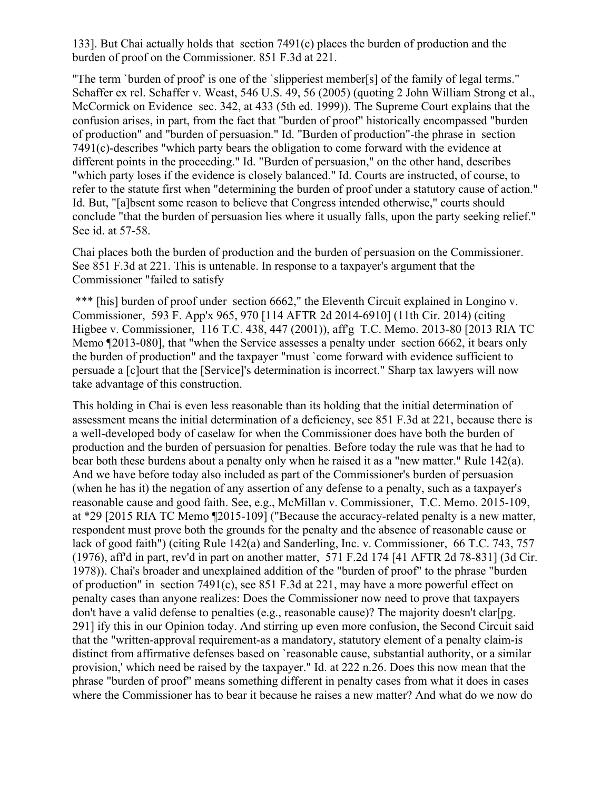133]. But Chai actually holds that section 7491(c) places the burden of production and the burden of proof on the Commissioner. 851 F.3d at 221.

"The term `burden of proof' is one of the `slipperiest member[s] of the family of legal terms." Schaffer ex rel. Schaffer v. Weast, 546 U.S. 49, 56 (2005) (quoting 2 John William Strong et al., McCormick on Evidence sec. 342, at 433 (5th ed. 1999)). The Supreme Court explains that the confusion arises, in part, from the fact that "burden of proof" historically encompassed "burden of production" and "burden of persuasion." Id. "Burden of production"-the phrase in section 7491(c)-describes "which party bears the obligation to come forward with the evidence at different points in the proceeding." Id. "Burden of persuasion," on the other hand, describes "which party loses if the evidence is closely balanced." Id. Courts are instructed, of course, to refer to the statute first when "determining the burden of proof under a statutory cause of action." Id. But, "[a]bsent some reason to believe that Congress intended otherwise," courts should conclude "that the burden of persuasion lies where it usually falls, upon the party seeking relief." See id. at 57-58.

Chai places both the burden of production and the burden of persuasion on the Commissioner. See 851 F.3d at 221. This is untenable. In response to a taxpayer's argument that the Commissioner "failed to satisfy

\*\*\* [his] burden of proof under section 6662," the Eleventh Circuit explained in Longino v. Commissioner, 593 F. App'x 965, 970 [114 AFTR 2d 2014-6910] (11th Cir. 2014) (citing Higbee v. Commissioner, 116 T.C. 438, 447 (2001)), aff'g T.C. Memo. 2013-80 [2013 RIA TC Memo ¶2013-080], that "when the Service assesses a penalty under section 6662, it bears only the burden of production" and the taxpayer "must `come forward with evidence sufficient to persuade a [c]ourt that the [Service]'s determination is incorrect." Sharp tax lawyers will now take advantage of this construction.

This holding in Chai is even less reasonable than its holding that the initial determination of assessment means the initial determination of a deficiency, see 851 F.3d at 221, because there is a well-developed body of caselaw for when the Commissioner does have both the burden of production and the burden of persuasion for penalties. Before today the rule was that he had to bear both these burdens about a penalty only when he raised it as a "new matter." Rule 142(a). And we have before today also included as part of the Commissioner's burden of persuasion (when he has it) the negation of any assertion of any defense to a penalty, such as a taxpayer's reasonable cause and good faith. See, e.g., McMillan v. Commissioner, T.C. Memo. 2015-109, at \*29 [2015 RIA TC Memo ¶2015-109] ("Because the accuracy-related penalty is a new matter, respondent must prove both the grounds for the penalty and the absence of reasonable cause or lack of good faith") (citing Rule 142(a) and Sanderling, Inc. v. Commissioner, 66 T.C. 743, 757 (1976), aff'd in part, rev'd in part on another matter, 571 F.2d 174 [41 AFTR 2d 78-831] (3d Cir. 1978)). Chai's broader and unexplained addition of the "burden of proof" to the phrase "burden of production" in section 7491(c), see 851 F.3d at 221, may have a more powerful effect on penalty cases than anyone realizes: Does the Commissioner now need to prove that taxpayers don't have a valid defense to penalties (e.g., reasonable cause)? The majority doesn't clar[pg. 291] ify this in our Opinion today. And stirring up even more confusion, the Second Circuit said that the "written-approval requirement-as a mandatory, statutory element of a penalty claim-is distinct from affirmative defenses based on `reasonable cause, substantial authority, or a similar provision,' which need be raised by the taxpayer." Id. at 222 n.26. Does this now mean that the phrase "burden of proof" means something different in penalty cases from what it does in cases where the Commissioner has to bear it because he raises a new matter? And what do we now do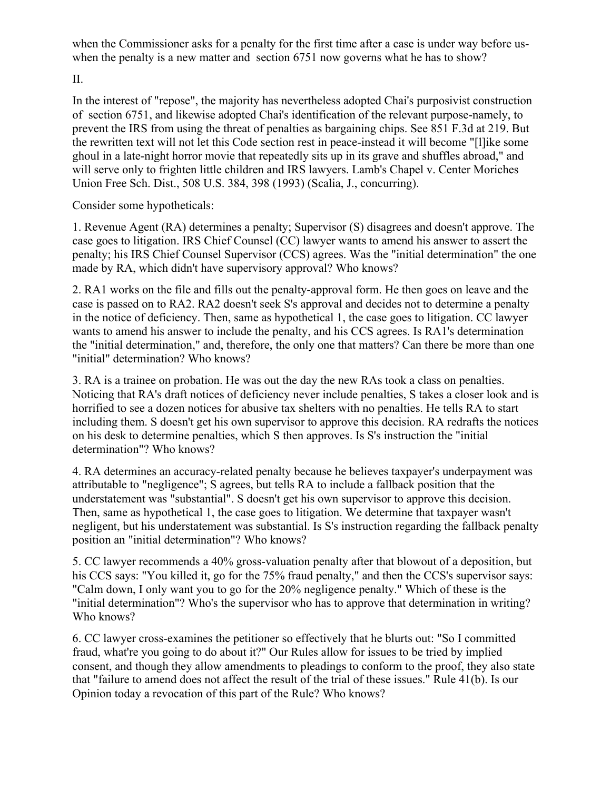when the Commissioner asks for a penalty for the first time after a case is under way before uswhen the penalty is a new matter and section 6751 now governs what he has to show?

II.

In the interest of "repose", the majority has nevertheless adopted Chai's purposivist construction of section 6751, and likewise adopted Chai's identification of the relevant purpose-namely, to prevent the IRS from using the threat of penalties as bargaining chips. See 851 F.3d at 219. But the rewritten text will not let this Code section rest in peace-instead it will become "[l]ike some ghoul in a late-night horror movie that repeatedly sits up in its grave and shuffles abroad," and will serve only to frighten little children and IRS lawyers. Lamb's Chapel v. Center Moriches Union Free Sch. Dist., 508 U.S. 384, 398 (1993) (Scalia, J., concurring).

Consider some hypotheticals:

1. Revenue Agent (RA) determines a penalty; Supervisor (S) disagrees and doesn't approve. The case goes to litigation. IRS Chief Counsel (CC) lawyer wants to amend his answer to assert the penalty; his IRS Chief Counsel Supervisor (CCS) agrees. Was the "initial determination" the one made by RA, which didn't have supervisory approval? Who knows?

2. RA1 works on the file and fills out the penalty-approval form. He then goes on leave and the case is passed on to RA2. RA2 doesn't seek S's approval and decides not to determine a penalty in the notice of deficiency. Then, same as hypothetical 1, the case goes to litigation. CC lawyer wants to amend his answer to include the penalty, and his CCS agrees. Is RA1's determination the "initial determination," and, therefore, the only one that matters? Can there be more than one "initial" determination? Who knows?

3. RA is a trainee on probation. He was out the day the new RAs took a class on penalties. Noticing that RA's draft notices of deficiency never include penalties, S takes a closer look and is horrified to see a dozen notices for abusive tax shelters with no penalties. He tells RA to start including them. S doesn't get his own supervisor to approve this decision. RA redrafts the notices on his desk to determine penalties, which S then approves. Is S's instruction the "initial determination"? Who knows?

4. RA determines an accuracy-related penalty because he believes taxpayer's underpayment was attributable to "negligence"; S agrees, but tells RA to include a fallback position that the understatement was "substantial". S doesn't get his own supervisor to approve this decision. Then, same as hypothetical 1, the case goes to litigation. We determine that taxpayer wasn't negligent, but his understatement was substantial. Is S's instruction regarding the fallback penalty position an "initial determination"? Who knows?

5. CC lawyer recommends a 40% gross-valuation penalty after that blowout of a deposition, but his CCS says: "You killed it, go for the 75% fraud penalty," and then the CCS's supervisor says: "Calm down, I only want you to go for the 20% negligence penalty." Which of these is the "initial determination"? Who's the supervisor who has to approve that determination in writing? Who knows?

6. CC lawyer cross-examines the petitioner so effectively that he blurts out: "So I committed fraud, what're you going to do about it?" Our Rules allow for issues to be tried by implied consent, and though they allow amendments to pleadings to conform to the proof, they also state that "failure to amend does not affect the result of the trial of these issues." Rule 41(b). Is our Opinion today a revocation of this part of the Rule? Who knows?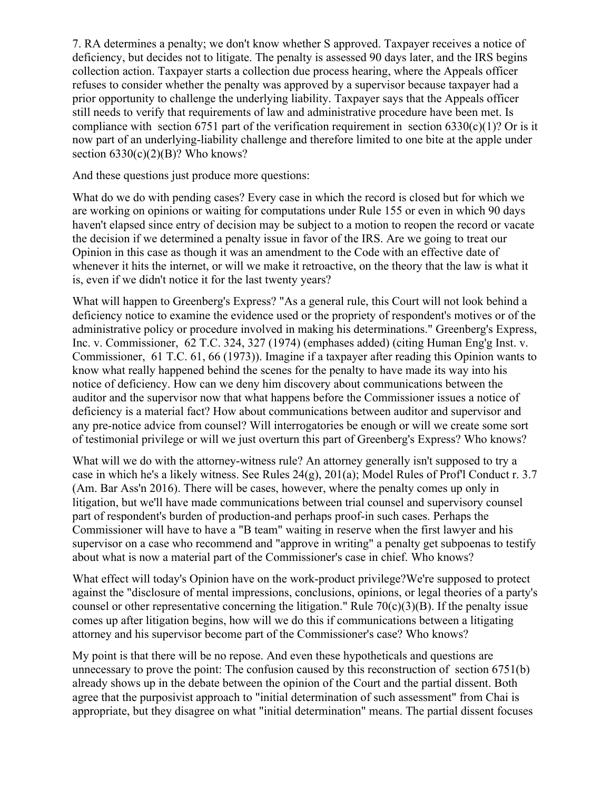7. RA determines a penalty; we don't know whether S approved. Taxpayer receives a notice of deficiency, but decides not to litigate. The penalty is assessed 90 days later, and the IRS begins collection action. Taxpayer starts a collection due process hearing, where the Appeals officer refuses to consider whether the penalty was approved by a supervisor because taxpayer had a prior opportunity to challenge the underlying liability. Taxpayer says that the Appeals officer still needs to verify that requirements of law and administrative procedure have been met. Is compliance with section 6751 part of the verification requirement in section 6330(c)(1)? Or is it now part of an underlying-liability challenge and therefore limited to one bite at the apple under section  $6330(c)(2)(B)$ ? Who knows?

And these questions just produce more questions:

What do we do with pending cases? Every case in which the record is closed but for which we are working on opinions or waiting for computations under Rule 155 or even in which 90 days haven't elapsed since entry of decision may be subject to a motion to reopen the record or vacate the decision if we determined a penalty issue in favor of the IRS. Are we going to treat our Opinion in this case as though it was an amendment to the Code with an effective date of whenever it hits the internet, or will we make it retroactive, on the theory that the law is what it is, even if we didn't notice it for the last twenty years?

What will happen to Greenberg's Express? "As a general rule, this Court will not look behind a deficiency notice to examine the evidence used or the propriety of respondent's motives or of the administrative policy or procedure involved in making his determinations." Greenberg's Express, Inc. v. Commissioner, 62 T.C. 324, 327 (1974) (emphases added) (citing Human Eng'g Inst. v. Commissioner, 61 T.C. 61, 66 (1973)). Imagine if a taxpayer after reading this Opinion wants to know what really happened behind the scenes for the penalty to have made its way into his notice of deficiency. How can we deny him discovery about communications between the auditor and the supervisor now that what happens before the Commissioner issues a notice of deficiency is a material fact? How about communications between auditor and supervisor and any pre-notice advice from counsel? Will interrogatories be enough or will we create some sort of testimonial privilege or will we just overturn this part of Greenberg's Express? Who knows?

What will we do with the attorney-witness rule? An attorney generally isn't supposed to try a case in which he's a likely witness. See Rules 24(g), 201(a); Model Rules of Prof'l Conduct r. 3.7 (Am. Bar Ass'n 2016). There will be cases, however, where the penalty comes up only in litigation, but we'll have made communications between trial counsel and supervisory counsel part of respondent's burden of production-and perhaps proof-in such cases. Perhaps the Commissioner will have to have a "B team" waiting in reserve when the first lawyer and his supervisor on a case who recommend and "approve in writing" a penalty get subpoenas to testify about what is now a material part of the Commissioner's case in chief. Who knows?

What effect will today's Opinion have on the work-product privilege?We're supposed to protect against the "disclosure of mental impressions, conclusions, opinions, or legal theories of a party's counsel or other representative concerning the litigation." Rule  $70(c)(3)(B)$ . If the penalty issue comes up after litigation begins, how will we do this if communications between a litigating attorney and his supervisor become part of the Commissioner's case? Who knows?

My point is that there will be no repose. And even these hypotheticals and questions are unnecessary to prove the point: The confusion caused by this reconstruction of section 6751(b) already shows up in the debate between the opinion of the Court and the partial dissent. Both agree that the purposivist approach to "initial determination of such assessment" from Chai is appropriate, but they disagree on what "initial determination" means. The partial dissent focuses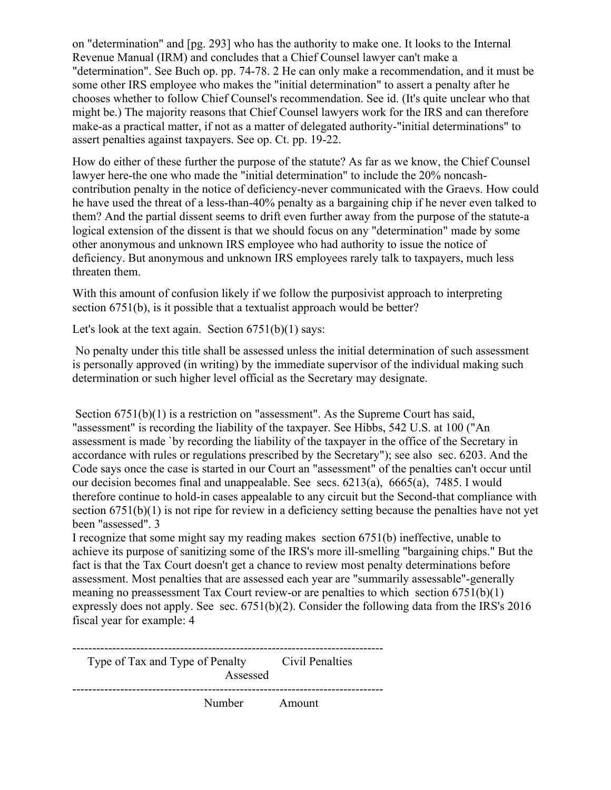on "determination" and [pg. 293] who has the authority to make one. It looks to the Internal Revenue Manual (IRM) and concludes that a Chief Counsel lawyer can't make a "determination". See Buch op. pp. 74-78. 2 He can only make a recommendation, and it must be some other IRS employee who makes the "initial determination" to assert a penalty after he chooses whether to follow Chief Counsel's recommendation. See id. (It's quite unclear who that might be.) The majority reasons that Chief Counsel lawyers work for the IRS and can therefore make-as a practical matter, if not as a matter of delegated authority-"initial determinations" to assert penalties against taxpayers. See op. Ct. pp. 19-22.

How do either of these further the purpose of the statute? As far as we know, the Chief Counsel lawyer here-the one who made the "initial determination" to include the 20% noncashcontribution penalty in the notice of deficiency-never communicated with the Graevs. How could he have used the threat of a less-than-40% penalty as a bargaining chip if he never even talked to them? And the partial dissent seems to drift even further away from the purpose of the statute-a logical extension of the dissent is that we should focus on any "determination" made by some other anonymous and unknown IRS employee who had authority to issue the notice of deficiency. But anonymous and unknown IRS employees rarely talk to taxpayers, much less threaten them.

With this amount of confusion likely if we follow the purposivist approach to interpreting section 6751(b), is it possible that a textualist approach would be better?

Let's look at the text again. Section 6751(b)(1) says:

No penalty under this title shall be assessed unless the initial determination of such assessment is personally approved (in writing) by the immediate supervisor of the individual making such determination or such higher level official as the Secretary may designate.

Section 6751(b)(1) is a restriction on "assessment". As the Supreme Court has said, "assessment" is recording the liability of the taxpayer. See Hibbs, 542 U.S. at 100 ("An assessment is made `by recording the liability of the taxpayer in the office of the Secretary in accordance with rules or regulations prescribed by the Secretary"); see also sec. 6203. And the Code says once the case is started in our Court an "assessment" of the penalties can't occur until our decision becomes final and unappealable. See secs. 6213(a), 6665(a), 7485. I would therefore continue to hold-in cases appealable to any circuit but the Second-that compliance with section 6751(b)(1) is not ripe for review in a deficiency setting because the penalties have not yet been "assessed". 3

I recognize that some might say my reading makes section 6751(b) ineffective, unable to achieve its purpose of sanitizing some of the IRS's more ill-smelling "bargaining chips." But the fact is that the Tax Court doesn't get a chance to review most penalty determinations before assessment. Most penalties that are assessed each year are "summarily assessable"-generally meaning no preassessment Tax Court review-or are penalties to which section 6751(b)(1) expressly does not apply. See sec. 6751(b)(2). Consider the following data from the IRS's 2016 fiscal year for example: 4

| Type of Tax and Type of Penalty | Assessed | Civil Penalties |
|---------------------------------|----------|-----------------|
|                                 | Number   | Amount          |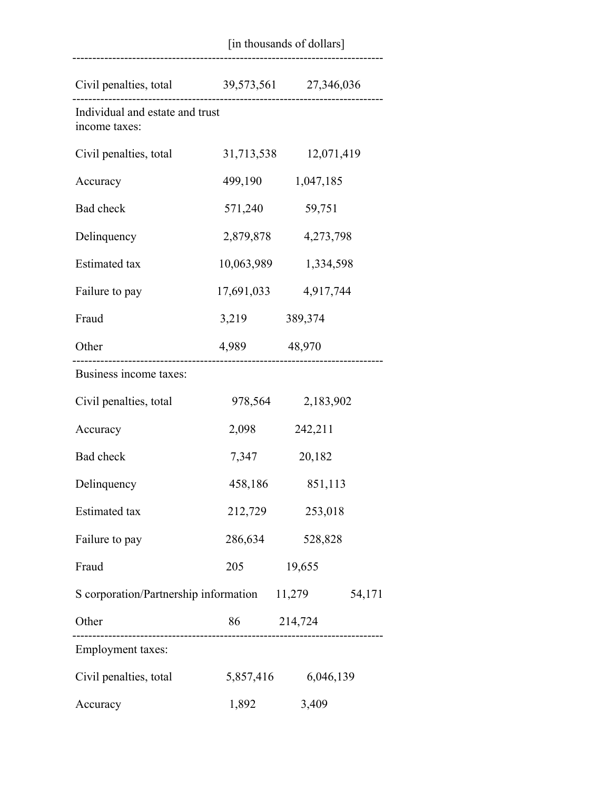|                                                  | [in thousands of dollars] |                       |  |
|--------------------------------------------------|---------------------------|-----------------------|--|
| Civil penalties, total 39,573,561 27,346,036     |                           |                       |  |
| Individual and estate and trust<br>income taxes: | .                         | ------------------    |  |
| Civil penalties, total                           |                           | 31,713,538 12,071,419 |  |
| Accuracy                                         |                           | 499,190 1,047,185     |  |
| Bad check                                        | 571,240                   | 59,751                |  |
| Delinquency                                      |                           | 2,879,878 4,273,798   |  |
| <b>Estimated</b> tax                             |                           | 10,063,989 1,334,598  |  |
| Failure to pay                                   |                           | 17,691,033 4,917,744  |  |
| Fraud                                            | 3,219 389,374             |                       |  |
| Other                                            | 4,989 48,970              |                       |  |
| Business income taxes:                           |                           |                       |  |
| Civil penalties, total                           |                           | 978,564 2,183,902     |  |
| Accuracy                                         | 2,098                     | 242,211               |  |
| Bad check                                        | 7,347                     | 20,182                |  |
| Delinquency                                      |                           | 458,186 851,113       |  |
| Estimated tax                                    | 212,729                   | 253,018               |  |
| Failure to pay                                   | 286,634                   | 528,828               |  |
| Fraud                                            | 205                       | 19,655                |  |
| S corporation/Partnership information 11,279     |                           | 54,171                |  |
| Other                                            | 86 214,724                |                       |  |
| <b>Employment</b> taxes:                         |                           |                       |  |
| Civil penalties, total                           |                           | 5,857,416 6,046,139   |  |
| Accuracy                                         | 1,892                     | 3,409                 |  |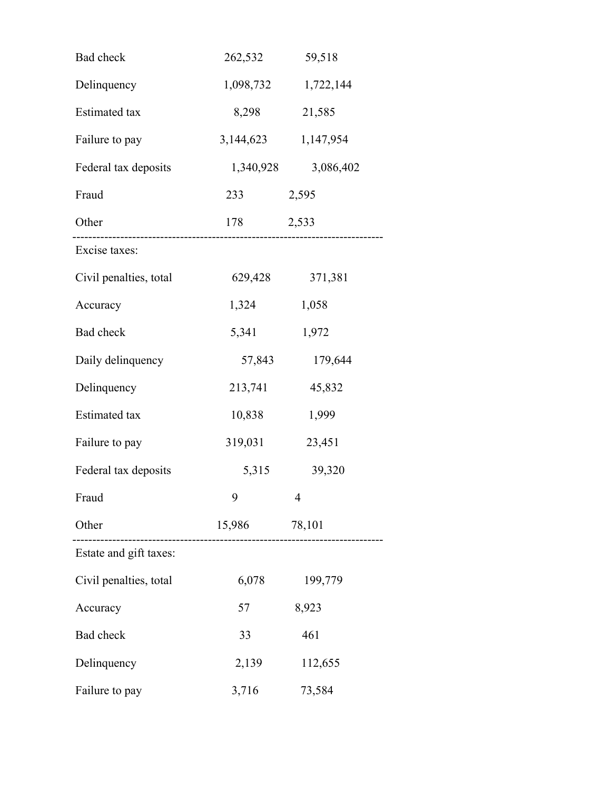| Bad check              | 262,532             | 59,518              |
|------------------------|---------------------|---------------------|
| Delinquency            |                     | 1,098,732 1,722,144 |
| <b>Estimated</b> tax   | 8,298               | 21,585              |
| Failure to pay         | 3,144,623           | 1,147,954           |
| Federal tax deposits   | 1,340,928           | 3,086,402           |
| Fraud                  | 233                 | 2,595               |
| Other                  | 178 2,533           |                     |
| Excise taxes:          |                     |                     |
| Civil penalties, total | 629,428             | 371,381             |
| Accuracy               | 1,324               | 1,058               |
| Bad check              | 5,341               | 1,972               |
| Daily delinquency      | 57,843              | 179,644             |
| Delinquency            | 213,741             | 45,832              |
| <b>Estimated</b> tax   | 10,838              | 1,999               |
| Failure to pay         | 319,031             | 23,451              |
| Federal tax deposits   |                     | 5,315 39,320        |
| Fraud                  | $9 \qquad \qquad 4$ |                     |
| Other                  | 15,986              | 78,101              |
| Estate and gift taxes: |                     |                     |
| Civil penalties, total | 6,078               | 199,779             |
| Accuracy               | 57                  | 8,923               |
| Bad check              | 33                  | 461                 |
| Delinquency            | 2,139               | 112,655             |
| Failure to pay         | 3,716               | 73,584              |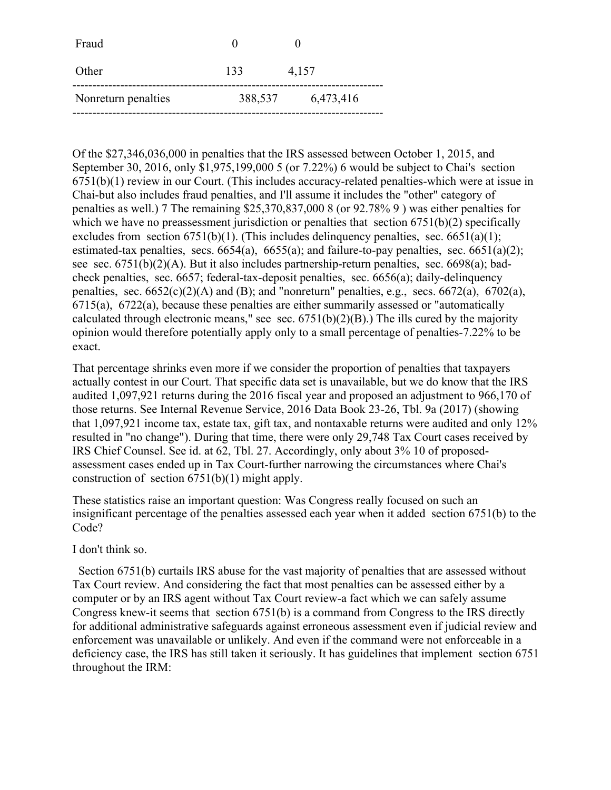| Fraud               |         |           |
|---------------------|---------|-----------|
| Other               | 133     | 4,157     |
| Nonreturn penalties | 388,537 | 6,473,416 |

Of the \$27,346,036,000 in penalties that the IRS assessed between October 1, 2015, and September 30, 2016, only \$1,975,199,000 5 (or 7.22%) 6 would be subject to Chai's section 6751(b)(1) review in our Court. (This includes accuracy-related penalties-which were at issue in Chai-but also includes fraud penalties, and I'll assume it includes the "other" category of penalties as well.) 7 The remaining \$25,370,837,000 8 (or 92.78% 9 ) was either penalties for which we have no preassessment jurisdiction or penalties that section 6751(b)(2) specifically excludes from section  $6751(b)(1)$ . (This includes delinguency penalties, sec.  $6651(a)(1)$ ; estimated-tax penalties, secs.  $6654(a)$ ,  $6655(a)$ ; and failure-to-pay penalties, sec.  $6651(a)(2)$ ; see sec. 6751(b)(2)(A). But it also includes partnership-return penalties, sec. 6698(a); badcheck penalties, sec. 6657; federal-tax-deposit penalties, sec. 6656(a); daily-delinquency penalties, sec.  $6652(c)(2)(A)$  and (B); and "nonreturn" penalties, e.g., secs.  $6672(a)$ ,  $6702(a)$ , 6715(a), 6722(a), because these penalties are either summarily assessed or "automatically calculated through electronic means," see sec.  $6751(b)(2)(B)$ .) The ills cured by the majority opinion would therefore potentially apply only to a small percentage of penalties-7.22% to be exact.

That percentage shrinks even more if we consider the proportion of penalties that taxpayers actually contest in our Court. That specific data set is unavailable, but we do know that the IRS audited 1,097,921 returns during the 2016 fiscal year and proposed an adjustment to 966,170 of those returns. See Internal Revenue Service, 2016 Data Book 23-26, Tbl. 9a (2017) (showing that 1,097,921 income tax, estate tax, gift tax, and nontaxable returns were audited and only 12% resulted in "no change"). During that time, there were only 29,748 Tax Court cases received by IRS Chief Counsel. See id. at 62, Tbl. 27. Accordingly, only about 3% 10 of proposedassessment cases ended up in Tax Court-further narrowing the circumstances where Chai's construction of section 6751(b)(1) might apply.

These statistics raise an important question: Was Congress really focused on such an insignificant percentage of the penalties assessed each year when it added section 6751(b) to the Code?

I don't think so.

 Section 6751(b) curtails IRS abuse for the vast majority of penalties that are assessed without Tax Court review. And considering the fact that most penalties can be assessed either by a computer or by an IRS agent without Tax Court review-a fact which we can safely assume Congress knew-it seems that section 6751(b) is a command from Congress to the IRS directly for additional administrative safeguards against erroneous assessment even if judicial review and enforcement was unavailable or unlikely. And even if the command were not enforceable in a deficiency case, the IRS has still taken it seriously. It has guidelines that implement section 6751 throughout the IRM: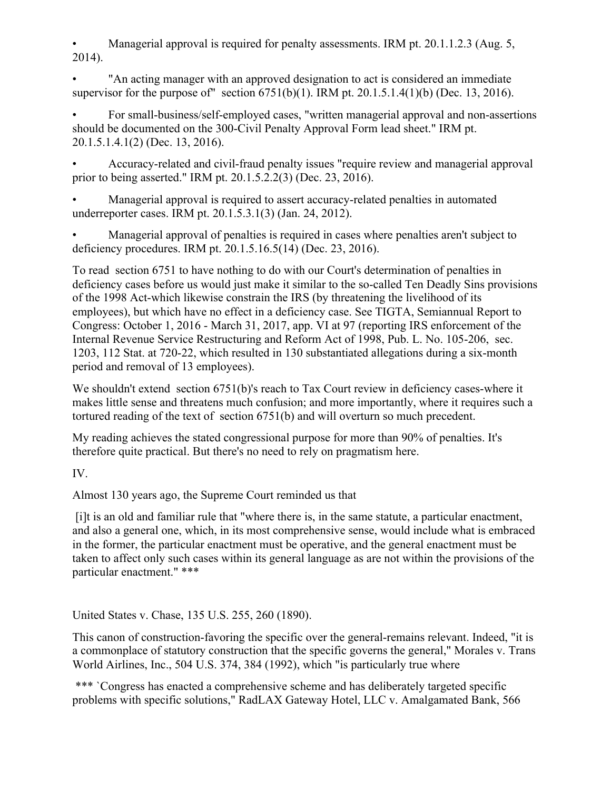Managerial approval is required for penalty assessments. IRM pt. 20.1.1.2.3 (Aug. 5, 2014).

• "An acting manager with an approved designation to act is considered an immediate supervisor for the purpose of" section  $6751(b)(1)$ . IRM pt. 20.1.5.1.4(1)(b) (Dec. 13, 2016).

• For small-business/self-employed cases, "written managerial approval and non-assertions should be documented on the 300-Civil Penalty Approval Form lead sheet." IRM pt. 20.1.5.1.4.1(2) (Dec. 13, 2016).

• Accuracy-related and civil-fraud penalty issues "require review and managerial approval prior to being asserted." IRM pt. 20.1.5.2.2(3) (Dec. 23, 2016).

• Managerial approval is required to assert accuracy-related penalties in automated underreporter cases. IRM pt. 20.1.5.3.1(3) (Jan. 24, 2012).

• Managerial approval of penalties is required in cases where penalties aren't subject to deficiency procedures. IRM pt. 20.1.5.16.5(14) (Dec. 23, 2016).

To read section 6751 to have nothing to do with our Court's determination of penalties in deficiency cases before us would just make it similar to the so-called Ten Deadly Sins provisions of the 1998 Act-which likewise constrain the IRS (by threatening the livelihood of its employees), but which have no effect in a deficiency case. See TIGTA, Semiannual Report to Congress: October 1, 2016 - March 31, 2017, app. VI at 97 (reporting IRS enforcement of the Internal Revenue Service Restructuring and Reform Act of 1998, Pub. L. No. 105-206, sec. 1203, 112 Stat. at 720-22, which resulted in 130 substantiated allegations during a six-month period and removal of 13 employees).

We shouldn't extend section 6751(b)'s reach to Tax Court review in deficiency cases-where it makes little sense and threatens much confusion; and more importantly, where it requires such a tortured reading of the text of section 6751(b) and will overturn so much precedent.

My reading achieves the stated congressional purpose for more than 90% of penalties. It's therefore quite practical. But there's no need to rely on pragmatism here.

IV.

Almost 130 years ago, the Supreme Court reminded us that

[i]t is an old and familiar rule that "where there is, in the same statute, a particular enactment, and also a general one, which, in its most comprehensive sense, would include what is embraced in the former, the particular enactment must be operative, and the general enactment must be taken to affect only such cases within its general language as are not within the provisions of the particular enactment." \*\*\*

United States v. Chase, 135 U.S. 255, 260 (1890).

This canon of construction-favoring the specific over the general-remains relevant. Indeed, "it is a commonplace of statutory construction that the specific governs the general," Morales v. Trans World Airlines, Inc., 504 U.S. 374, 384 (1992), which "is particularly true where

\*\*\* `Congress has enacted a comprehensive scheme and has deliberately targeted specific problems with specific solutions," RadLAX Gateway Hotel, LLC v. Amalgamated Bank, 566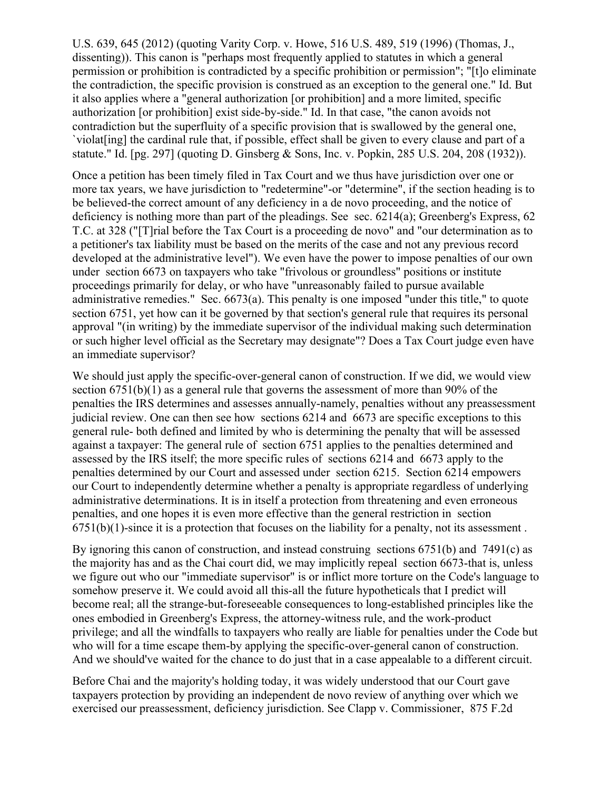U.S. 639, 645 (2012) (quoting Varity Corp. v. Howe, 516 U.S. 489, 519 (1996) (Thomas, J., dissenting)). This canon is "perhaps most frequently applied to statutes in which a general permission or prohibition is contradicted by a specific prohibition or permission"; "[t]o eliminate the contradiction, the specific provision is construed as an exception to the general one." Id. But it also applies where a "general authorization [or prohibition] and a more limited, specific authorization [or prohibition] exist side-by-side." Id. In that case, "the canon avoids not contradiction but the superfluity of a specific provision that is swallowed by the general one, `violat[ing] the cardinal rule that, if possible, effect shall be given to every clause and part of a statute." Id. [pg. 297] (quoting D. Ginsberg & Sons, Inc. v. Popkin, 285 U.S. 204, 208 (1932)).

Once a petition has been timely filed in Tax Court and we thus have jurisdiction over one or more tax years, we have jurisdiction to "redetermine"-or "determine", if the section heading is to be believed-the correct amount of any deficiency in a de novo proceeding, and the notice of deficiency is nothing more than part of the pleadings. See sec. 6214(a); Greenberg's Express, 62 T.C. at 328 ("[T]rial before the Tax Court is a proceeding de novo" and "our determination as to a petitioner's tax liability must be based on the merits of the case and not any previous record developed at the administrative level"). We even have the power to impose penalties of our own under section 6673 on taxpayers who take "frivolous or groundless" positions or institute proceedings primarily for delay, or who have "unreasonably failed to pursue available administrative remedies." Sec. 6673(a). This penalty is one imposed "under this title," to quote section 6751, yet how can it be governed by that section's general rule that requires its personal approval "(in writing) by the immediate supervisor of the individual making such determination or such higher level official as the Secretary may designate"? Does a Tax Court judge even have an immediate supervisor?

We should just apply the specific-over-general canon of construction. If we did, we would view section 6751(b)(1) as a general rule that governs the assessment of more than 90% of the penalties the IRS determines and assesses annually-namely, penalties without any preassessment judicial review. One can then see how sections 6214 and 6673 are specific exceptions to this general rule- both defined and limited by who is determining the penalty that will be assessed against a taxpayer: The general rule of section 6751 applies to the penalties determined and assessed by the IRS itself; the more specific rules of sections 6214 and 6673 apply to the penalties determined by our Court and assessed under section 6215. Section 6214 empowers our Court to independently determine whether a penalty is appropriate regardless of underlying administrative determinations. It is in itself a protection from threatening and even erroneous penalties, and one hopes it is even more effective than the general restriction in section  $6751(b)(1)$ -since it is a protection that focuses on the liability for a penalty, not its assessment.

By ignoring this canon of construction, and instead construing sections 6751(b) and 7491(c) as the majority has and as the Chai court did, we may implicitly repeal section 6673-that is, unless we figure out who our "immediate supervisor" is or inflict more torture on the Code's language to somehow preserve it. We could avoid all this-all the future hypotheticals that I predict will become real; all the strange-but-foreseeable consequences to long-established principles like the ones embodied in Greenberg's Express, the attorney-witness rule, and the work-product privilege; and all the windfalls to taxpayers who really are liable for penalties under the Code but who will for a time escape them-by applying the specific-over-general canon of construction. And we should've waited for the chance to do just that in a case appealable to a different circuit.

Before Chai and the majority's holding today, it was widely understood that our Court gave taxpayers protection by providing an independent de novo review of anything over which we exercised our preassessment, deficiency jurisdiction. See Clapp v. Commissioner, 875 F.2d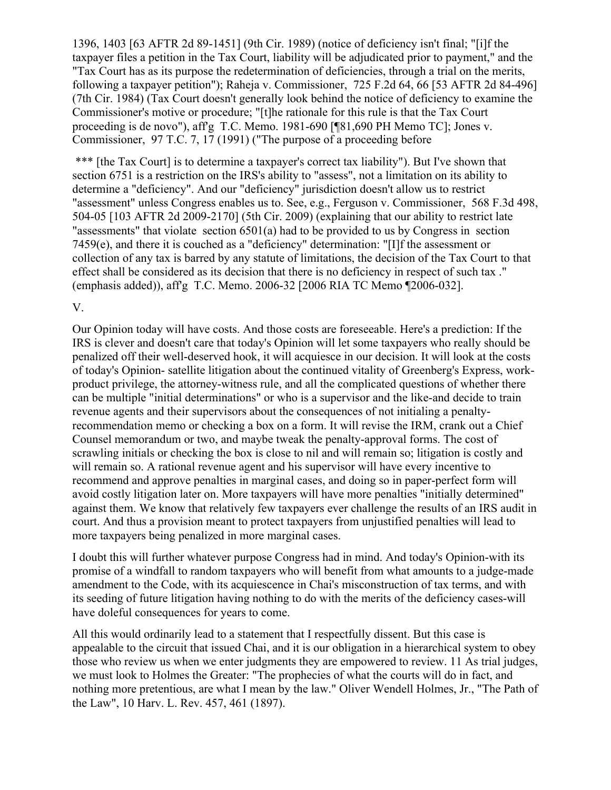1396, 1403 [63 AFTR 2d 89-1451] (9th Cir. 1989) (notice of deficiency isn't final; "[i]f the taxpayer files a petition in the Tax Court, liability will be adjudicated prior to payment," and the "Tax Court has as its purpose the redetermination of deficiencies, through a trial on the merits, following a taxpayer petition"); Raheja v. Commissioner, 725 F.2d 64, 66 [53 AFTR 2d 84-496] (7th Cir. 1984) (Tax Court doesn't generally look behind the notice of deficiency to examine the Commissioner's motive or procedure; "[t]he rationale for this rule is that the Tax Court proceeding is de novo"), aff'g T.C. Memo. 1981-690 [¶81,690 PH Memo TC]; Jones v. Commissioner, 97 T.C. 7, 17 (1991) ("The purpose of a proceeding before

\*\*\* [the Tax Court] is to determine a taxpayer's correct tax liability"). But I've shown that section 6751 is a restriction on the IRS's ability to "assess", not a limitation on its ability to determine a "deficiency". And our "deficiency" jurisdiction doesn't allow us to restrict "assessment" unless Congress enables us to. See, e.g., Ferguson v. Commissioner, 568 F.3d 498, 504-05 [103 AFTR 2d 2009-2170] (5th Cir. 2009) (explaining that our ability to restrict late "assessments" that violate section 6501(a) had to be provided to us by Congress in section 7459(e), and there it is couched as a "deficiency" determination: "[I]f the assessment or collection of any tax is barred by any statute of limitations, the decision of the Tax Court to that effect shall be considered as its decision that there is no deficiency in respect of such tax ." (emphasis added)), aff'g T.C. Memo. 2006-32 [2006 RIA TC Memo ¶2006-032].

#### V.

Our Opinion today will have costs. And those costs are foreseeable. Here's a prediction: If the IRS is clever and doesn't care that today's Opinion will let some taxpayers who really should be penalized off their well-deserved hook, it will acquiesce in our decision. It will look at the costs of today's Opinion- satellite litigation about the continued vitality of Greenberg's Express, workproduct privilege, the attorney-witness rule, and all the complicated questions of whether there can be multiple "initial determinations" or who is a supervisor and the like-and decide to train revenue agents and their supervisors about the consequences of not initialing a penaltyrecommendation memo or checking a box on a form. It will revise the IRM, crank out a Chief Counsel memorandum or two, and maybe tweak the penalty-approval forms. The cost of scrawling initials or checking the box is close to nil and will remain so; litigation is costly and will remain so. A rational revenue agent and his supervisor will have every incentive to recommend and approve penalties in marginal cases, and doing so in paper-perfect form will avoid costly litigation later on. More taxpayers will have more penalties "initially determined" against them. We know that relatively few taxpayers ever challenge the results of an IRS audit in court. And thus a provision meant to protect taxpayers from unjustified penalties will lead to more taxpayers being penalized in more marginal cases.

I doubt this will further whatever purpose Congress had in mind. And today's Opinion-with its promise of a windfall to random taxpayers who will benefit from what amounts to a judge-made amendment to the Code, with its acquiescence in Chai's misconstruction of tax terms, and with its seeding of future litigation having nothing to do with the merits of the deficiency cases-will have doleful consequences for years to come.

All this would ordinarily lead to a statement that I respectfully dissent. But this case is appealable to the circuit that issued Chai, and it is our obligation in a hierarchical system to obey those who review us when we enter judgments they are empowered to review. 11 As trial judges, we must look to Holmes the Greater: "The prophecies of what the courts will do in fact, and nothing more pretentious, are what I mean by the law." Oliver Wendell Holmes, Jr., "The Path of the Law", 10 Harv. L. Rev. 457, 461 (1897).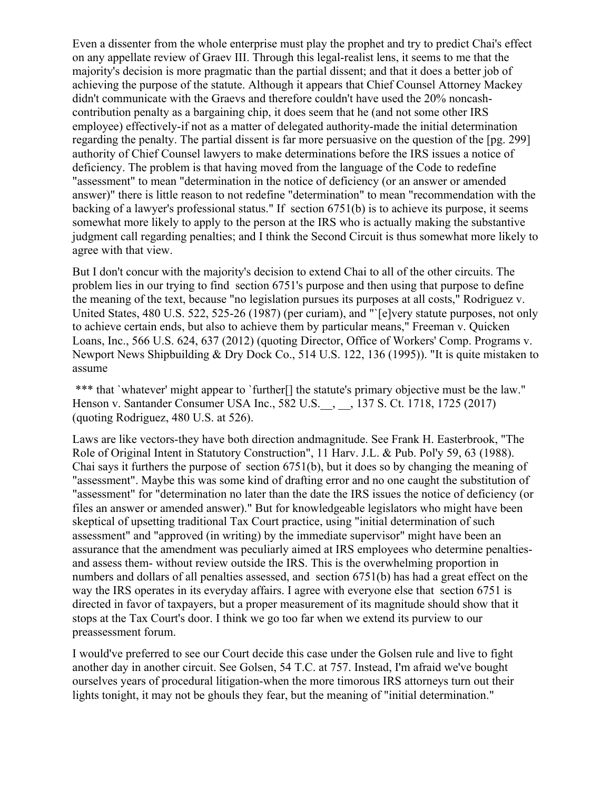Even a dissenter from the whole enterprise must play the prophet and try to predict Chai's effect on any appellate review of Graev III. Through this legal-realist lens, it seems to me that the majority's decision is more pragmatic than the partial dissent; and that it does a better job of achieving the purpose of the statute. Although it appears that Chief Counsel Attorney Mackey didn't communicate with the Graevs and therefore couldn't have used the 20% noncashcontribution penalty as a bargaining chip, it does seem that he (and not some other IRS employee) effectively-if not as a matter of delegated authority-made the initial determination regarding the penalty. The partial dissent is far more persuasive on the question of the [pg. 299] authority of Chief Counsel lawyers to make determinations before the IRS issues a notice of deficiency. The problem is that having moved from the language of the Code to redefine "assessment" to mean "determination in the notice of deficiency (or an answer or amended answer)" there is little reason to not redefine "determination" to mean "recommendation with the backing of a lawyer's professional status." If section 6751(b) is to achieve its purpose, it seems somewhat more likely to apply to the person at the IRS who is actually making the substantive judgment call regarding penalties; and I think the Second Circuit is thus somewhat more likely to agree with that view.

But I don't concur with the majority's decision to extend Chai to all of the other circuits. The problem lies in our trying to find section 6751's purpose and then using that purpose to define the meaning of the text, because "no legislation pursues its purposes at all costs," Rodriguez v. United States, 480 U.S. 522, 525-26 (1987) (per curiam), and "`[e]very statute purposes, not only to achieve certain ends, but also to achieve them by particular means," Freeman v. Quicken Loans, Inc., 566 U.S. 624, 637 (2012) (quoting Director, Office of Workers' Comp. Programs v. Newport News Shipbuilding & Dry Dock Co., 514 U.S. 122, 136 (1995)). "It is quite mistaken to assume

\*\*\* that `whatever' might appear to `further<sup>[]</sup> the statute's primary objective must be the law." Henson v. Santander Consumer USA Inc., 582 U.S.\_\_, \_\_, 137 S. Ct. 1718, 1725 (2017) (quoting Rodriguez, 480 U.S. at 526).

Laws are like vectors-they have both direction andmagnitude. See Frank H. Easterbrook, "The Role of Original Intent in Statutory Construction", 11 Harv. J.L. & Pub. Pol'y 59, 63 (1988). Chai says it furthers the purpose of section 6751(b), but it does so by changing the meaning of "assessment". Maybe this was some kind of drafting error and no one caught the substitution of "assessment" for "determination no later than the date the IRS issues the notice of deficiency (or files an answer or amended answer)." But for knowledgeable legislators who might have been skeptical of upsetting traditional Tax Court practice, using "initial determination of such assessment" and "approved (in writing) by the immediate supervisor" might have been an assurance that the amendment was peculiarly aimed at IRS employees who determine penaltiesand assess them- without review outside the IRS. This is the overwhelming proportion in numbers and dollars of all penalties assessed, and section 6751(b) has had a great effect on the way the IRS operates in its everyday affairs. I agree with everyone else that section 6751 is directed in favor of taxpayers, but a proper measurement of its magnitude should show that it stops at the Tax Court's door. I think we go too far when we extend its purview to our preassessment forum.

I would've preferred to see our Court decide this case under the Golsen rule and live to fight another day in another circuit. See Golsen, 54 T.C. at 757. Instead, I'm afraid we've bought ourselves years of procedural litigation-when the more timorous IRS attorneys turn out their lights tonight, it may not be ghouls they fear, but the meaning of "initial determination."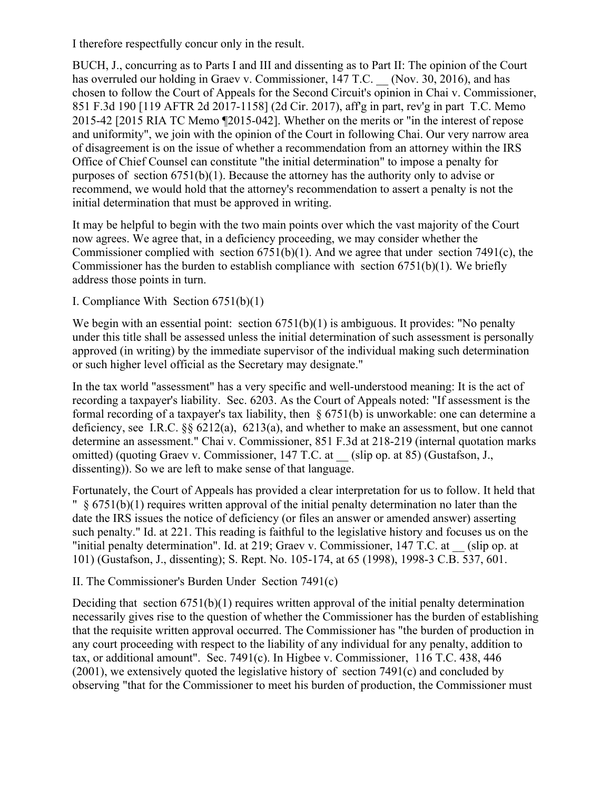I therefore respectfully concur only in the result.

BUCH, J., concurring as to Parts I and III and dissenting as to Part II: The opinion of the Court has overruled our holding in Graev v. Commissioner, 147 T.C. (Nov. 30, 2016), and has chosen to follow the Court of Appeals for the Second Circuit's opinion in Chai v. Commissioner, 851 F.3d 190 [119 AFTR 2d 2017-1158] (2d Cir. 2017), aff'g in part, rev'g in part T.C. Memo 2015-42 [2015 RIA TC Memo ¶2015-042]. Whether on the merits or "in the interest of repose and uniformity", we join with the opinion of the Court in following Chai. Our very narrow area of disagreement is on the issue of whether a recommendation from an attorney within the IRS Office of Chief Counsel can constitute "the initial determination" to impose a penalty for purposes of section 6751(b)(1). Because the attorney has the authority only to advise or recommend, we would hold that the attorney's recommendation to assert a penalty is not the initial determination that must be approved in writing.

It may be helpful to begin with the two main points over which the vast majority of the Court now agrees. We agree that, in a deficiency proceeding, we may consider whether the Commissioner complied with section 6751(b)(1). And we agree that under section 7491(c), the Commissioner has the burden to establish compliance with section  $6751(b)(1)$ . We briefly address those points in turn.

I. Compliance With Section 6751(b)(1)

We begin with an essential point: section  $6751(b)(1)$  is ambiguous. It provides: "No penalty under this title shall be assessed unless the initial determination of such assessment is personally approved (in writing) by the immediate supervisor of the individual making such determination or such higher level official as the Secretary may designate."

In the tax world "assessment" has a very specific and well-understood meaning: It is the act of recording a taxpayer's liability. Sec. 6203. As the Court of Appeals noted: "If assessment is the formal recording of a taxpayer's tax liability, then § 6751(b) is unworkable: one can determine a deficiency, see I.R.C. §§ 6212(a), 6213(a), and whether to make an assessment, but one cannot determine an assessment." Chai v. Commissioner, 851 F.3d at 218-219 (internal quotation marks omitted) (quoting Graev v. Commissioner, 147 T.C. at (slip op. at 85) (Gustafson, J., dissenting)). So we are left to make sense of that language.

Fortunately, the Court of Appeals has provided a clear interpretation for us to follow. It held that  $\frac{1}{2}$  § 6751(b)(1) requires written approval of the initial penalty determination no later than the date the IRS issues the notice of deficiency (or files an answer or amended answer) asserting such penalty." Id. at 221. This reading is faithful to the legislative history and focuses us on the "initial penalty determination". Id. at 219; Graev v. Commissioner, 147 T.C. at \_\_ (slip op. at 101) (Gustafson, J., dissenting); S. Rept. No. 105-174, at 65 (1998), 1998-3 C.B. 537, 601.

II. The Commissioner's Burden Under Section 7491(c)

Deciding that section  $6751(b)(1)$  requires written approval of the initial penalty determination necessarily gives rise to the question of whether the Commissioner has the burden of establishing that the requisite written approval occurred. The Commissioner has "the burden of production in any court proceeding with respect to the liability of any individual for any penalty, addition to tax, or additional amount". Sec. 7491(c). In Higbee v. Commissioner, 116 T.C. 438, 446 (2001), we extensively quoted the legislative history of section 7491(c) and concluded by observing "that for the Commissioner to meet his burden of production, the Commissioner must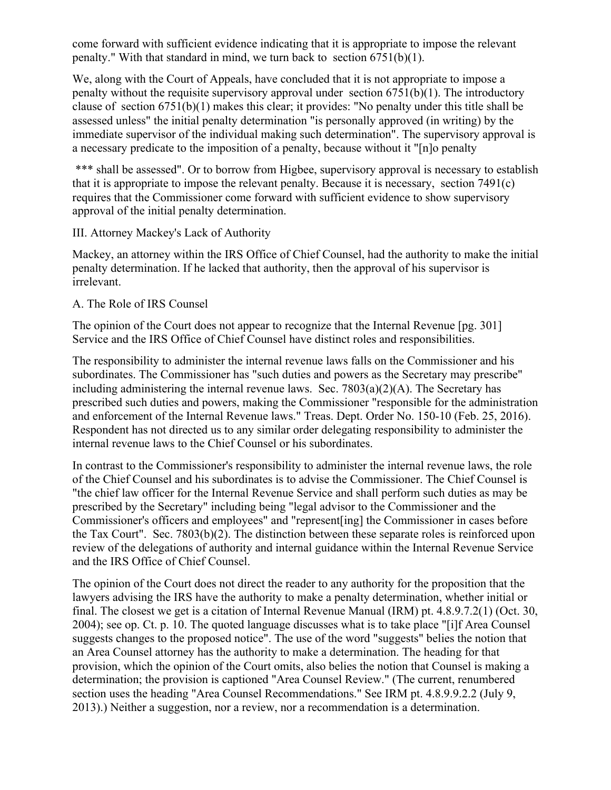come forward with sufficient evidence indicating that it is appropriate to impose the relevant penalty." With that standard in mind, we turn back to section 6751(b)(1).

We, along with the Court of Appeals, have concluded that it is not appropriate to impose a penalty without the requisite supervisory approval under section  $6751(b)(1)$ . The introductory clause of section 6751(b)(1) makes this clear; it provides: "No penalty under this title shall be assessed unless" the initial penalty determination "is personally approved (in writing) by the immediate supervisor of the individual making such determination". The supervisory approval is a necessary predicate to the imposition of a penalty, because without it "[n]o penalty

\*\*\* shall be assessed". Or to borrow from Higbee, supervisory approval is necessary to establish that it is appropriate to impose the relevant penalty. Because it is necessary, section 7491(c) requires that the Commissioner come forward with sufficient evidence to show supervisory approval of the initial penalty determination.

III. Attorney Mackey's Lack of Authority

Mackey, an attorney within the IRS Office of Chief Counsel, had the authority to make the initial penalty determination. If he lacked that authority, then the approval of his supervisor is irrelevant.

#### A. The Role of IRS Counsel

The opinion of the Court does not appear to recognize that the Internal Revenue [pg. 301] Service and the IRS Office of Chief Counsel have distinct roles and responsibilities.

The responsibility to administer the internal revenue laws falls on the Commissioner and his subordinates. The Commissioner has "such duties and powers as the Secretary may prescribe" including administering the internal revenue laws. Sec.  $7803(a)(2)(A)$ . The Secretary has prescribed such duties and powers, making the Commissioner "responsible for the administration and enforcement of the Internal Revenue laws." Treas. Dept. Order No. 150-10 (Feb. 25, 2016). Respondent has not directed us to any similar order delegating responsibility to administer the internal revenue laws to the Chief Counsel or his subordinates.

In contrast to the Commissioner's responsibility to administer the internal revenue laws, the role of the Chief Counsel and his subordinates is to advise the Commissioner. The Chief Counsel is "the chief law officer for the Internal Revenue Service and shall perform such duties as may be prescribed by the Secretary" including being "legal advisor to the Commissioner and the Commissioner's officers and employees" and "represent[ing] the Commissioner in cases before the Tax Court". Sec. 7803(b)(2). The distinction between these separate roles is reinforced upon review of the delegations of authority and internal guidance within the Internal Revenue Service and the IRS Office of Chief Counsel.

The opinion of the Court does not direct the reader to any authority for the proposition that the lawyers advising the IRS have the authority to make a penalty determination, whether initial or final. The closest we get is a citation of Internal Revenue Manual (IRM) pt. 4.8.9.7.2(1) (Oct. 30, 2004); see op. Ct. p. 10. The quoted language discusses what is to take place "[i]f Area Counsel suggests changes to the proposed notice". The use of the word "suggests" belies the notion that an Area Counsel attorney has the authority to make a determination. The heading for that provision, which the opinion of the Court omits, also belies the notion that Counsel is making a determination; the provision is captioned "Area Counsel Review." (The current, renumbered section uses the heading "Area Counsel Recommendations." See IRM pt. 4.8.9.9.2.2 (July 9, 2013).) Neither a suggestion, nor a review, nor a recommendation is a determination.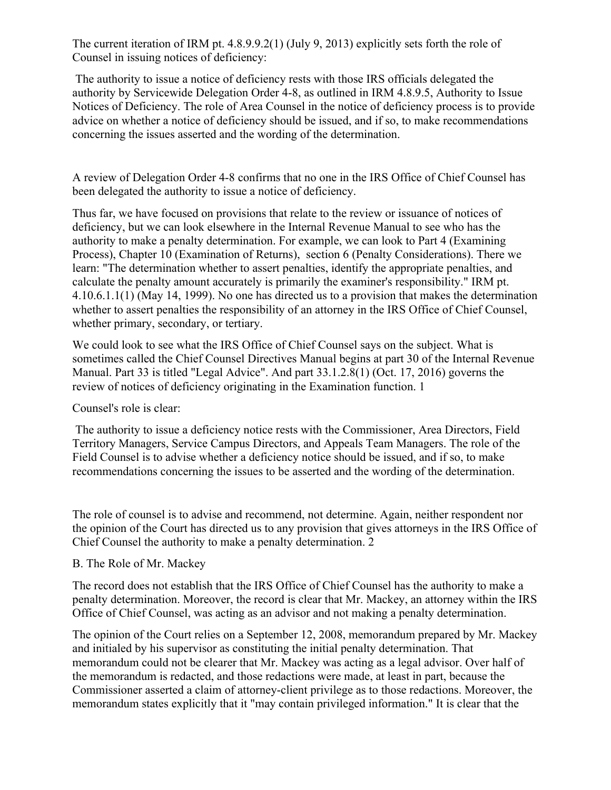The current iteration of IRM pt. 4.8.9.9.2(1) (July 9, 2013) explicitly sets forth the role of Counsel in issuing notices of deficiency:

The authority to issue a notice of deficiency rests with those IRS officials delegated the authority by Servicewide Delegation Order 4-8, as outlined in IRM 4.8.9.5, Authority to Issue Notices of Deficiency. The role of Area Counsel in the notice of deficiency process is to provide advice on whether a notice of deficiency should be issued, and if so, to make recommendations concerning the issues asserted and the wording of the determination.

A review of Delegation Order 4-8 confirms that no one in the IRS Office of Chief Counsel has been delegated the authority to issue a notice of deficiency.

Thus far, we have focused on provisions that relate to the review or issuance of notices of deficiency, but we can look elsewhere in the Internal Revenue Manual to see who has the authority to make a penalty determination. For example, we can look to Part 4 (Examining Process), Chapter 10 (Examination of Returns), section 6 (Penalty Considerations). There we learn: "The determination whether to assert penalties, identify the appropriate penalties, and calculate the penalty amount accurately is primarily the examiner's responsibility." IRM pt. 4.10.6.1.1(1) (May 14, 1999). No one has directed us to a provision that makes the determination whether to assert penalties the responsibility of an attorney in the IRS Office of Chief Counsel, whether primary, secondary, or tertiary.

We could look to see what the IRS Office of Chief Counsel says on the subject. What is sometimes called the Chief Counsel Directives Manual begins at part 30 of the Internal Revenue Manual. Part 33 is titled "Legal Advice". And part 33.1.2.8(1) (Oct. 17, 2016) governs the review of notices of deficiency originating in the Examination function. 1

Counsel's role is clear:

The authority to issue a deficiency notice rests with the Commissioner, Area Directors, Field Territory Managers, Service Campus Directors, and Appeals Team Managers. The role of the Field Counsel is to advise whether a deficiency notice should be issued, and if so, to make recommendations concerning the issues to be asserted and the wording of the determination.

The role of counsel is to advise and recommend, not determine. Again, neither respondent nor the opinion of the Court has directed us to any provision that gives attorneys in the IRS Office of Chief Counsel the authority to make a penalty determination. 2

# B. The Role of Mr. Mackey

The record does not establish that the IRS Office of Chief Counsel has the authority to make a penalty determination. Moreover, the record is clear that Mr. Mackey, an attorney within the IRS Office of Chief Counsel, was acting as an advisor and not making a penalty determination.

The opinion of the Court relies on a September 12, 2008, memorandum prepared by Mr. Mackey and initialed by his supervisor as constituting the initial penalty determination. That memorandum could not be clearer that Mr. Mackey was acting as a legal advisor. Over half of the memorandum is redacted, and those redactions were made, at least in part, because the Commissioner asserted a claim of attorney-client privilege as to those redactions. Moreover, the memorandum states explicitly that it "may contain privileged information." It is clear that the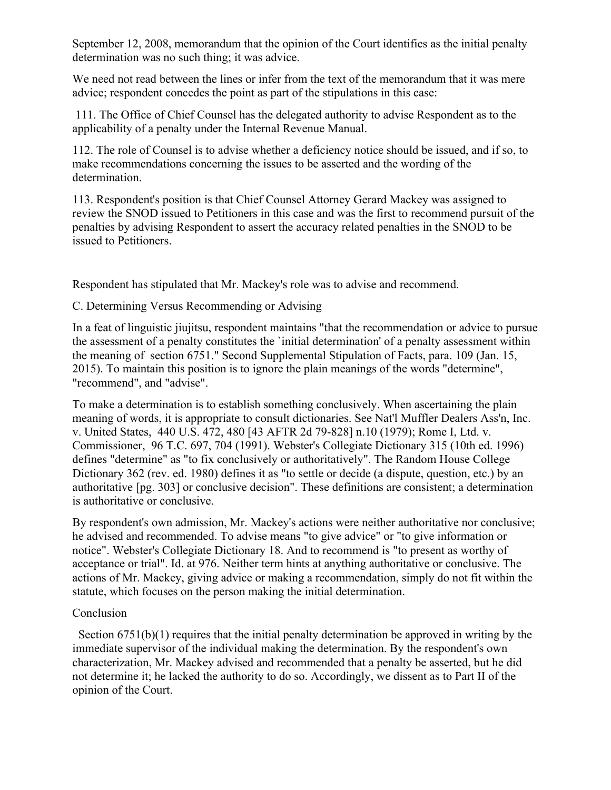September 12, 2008, memorandum that the opinion of the Court identifies as the initial penalty determination was no such thing; it was advice.

We need not read between the lines or infer from the text of the memorandum that it was mere advice; respondent concedes the point as part of the stipulations in this case:

111. The Office of Chief Counsel has the delegated authority to advise Respondent as to the applicability of a penalty under the Internal Revenue Manual.

112. The role of Counsel is to advise whether a deficiency notice should be issued, and if so, to make recommendations concerning the issues to be asserted and the wording of the determination.

113. Respondent's position is that Chief Counsel Attorney Gerard Mackey was assigned to review the SNOD issued to Petitioners in this case and was the first to recommend pursuit of the penalties by advising Respondent to assert the accuracy related penalties in the SNOD to be issued to Petitioners.

Respondent has stipulated that Mr. Mackey's role was to advise and recommend.

C. Determining Versus Recommending or Advising

In a feat of linguistic jiujitsu, respondent maintains "that the recommendation or advice to pursue the assessment of a penalty constitutes the `initial determination' of a penalty assessment within the meaning of section 6751." Second Supplemental Stipulation of Facts, para. 109 (Jan. 15, 2015). To maintain this position is to ignore the plain meanings of the words "determine", "recommend", and "advise".

To make a determination is to establish something conclusively. When ascertaining the plain meaning of words, it is appropriate to consult dictionaries. See Nat'l Muffler Dealers Ass'n, Inc. v. United States, 440 U.S. 472, 480 [43 AFTR 2d 79-828] n.10 (1979); Rome I, Ltd. v. Commissioner, 96 T.C. 697, 704 (1991). Webster's Collegiate Dictionary 315 (10th ed. 1996) defines "determine" as "to fix conclusively or authoritatively". The Random House College Dictionary 362 (rev. ed. 1980) defines it as "to settle or decide (a dispute, question, etc.) by an authoritative [pg. 303] or conclusive decision". These definitions are consistent; a determination is authoritative or conclusive.

By respondent's own admission, Mr. Mackey's actions were neither authoritative nor conclusive; he advised and recommended. To advise means "to give advice" or "to give information or notice". Webster's Collegiate Dictionary 18. And to recommend is "to present as worthy of acceptance or trial". Id. at 976. Neither term hints at anything authoritative or conclusive. The actions of Mr. Mackey, giving advice or making a recommendation, simply do not fit within the statute, which focuses on the person making the initial determination.

#### Conclusion

 Section 6751(b)(1) requires that the initial penalty determination be approved in writing by the immediate supervisor of the individual making the determination. By the respondent's own characterization, Mr. Mackey advised and recommended that a penalty be asserted, but he did not determine it; he lacked the authority to do so. Accordingly, we dissent as to Part II of the opinion of the Court.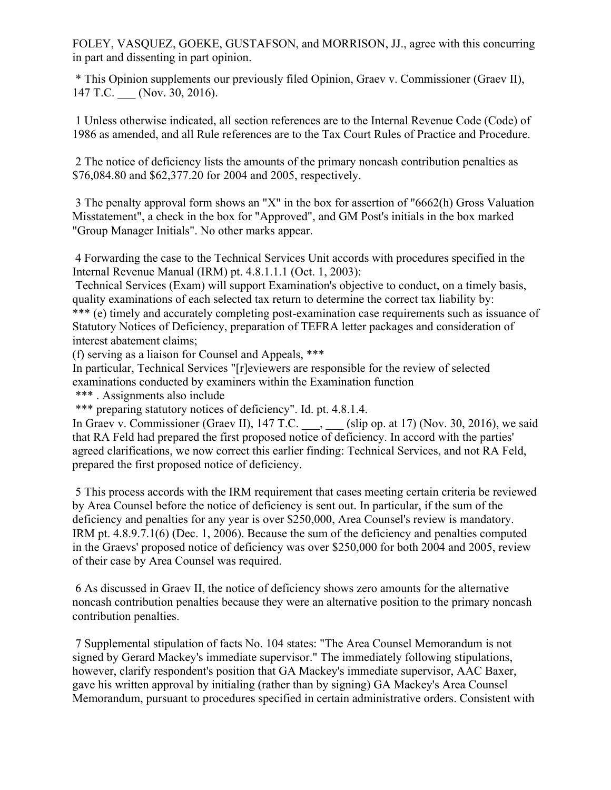FOLEY, VASQUEZ, GOEKE, GUSTAFSON, and MORRISON, JJ., agree with this concurring in part and dissenting in part opinion.

\* This Opinion supplements our previously filed Opinion, Graev v. Commissioner (Graev II), 147 T.C. (Nov. 30, 2016).

1 Unless otherwise indicated, all section references are to the Internal Revenue Code (Code) of 1986 as amended, and all Rule references are to the Tax Court Rules of Practice and Procedure.

2 The notice of deficiency lists the amounts of the primary noncash contribution penalties as \$76,084.80 and \$62,377.20 for 2004 and 2005, respectively.

3 The penalty approval form shows an "X" in the box for assertion of "6662(h) Gross Valuation Misstatement", a check in the box for "Approved", and GM Post's initials in the box marked "Group Manager Initials". No other marks appear.

4 Forwarding the case to the Technical Services Unit accords with procedures specified in the Internal Revenue Manual (IRM) pt. 4.8.1.1.1 (Oct. 1, 2003):

Technical Services (Exam) will support Examination's objective to conduct, on a timely basis, quality examinations of each selected tax return to determine the correct tax liability by: \*\*\* (e) timely and accurately completing post-examination case requirements such as issuance of Statutory Notices of Deficiency, preparation of TEFRA letter packages and consideration of interest abatement claims;

(f) serving as a liaison for Counsel and Appeals, \*\*\*

In particular, Technical Services "[r]eviewers are responsible for the review of selected examinations conducted by examiners within the Examination function

\*\*\* . Assignments also include

\*\*\* preparing statutory notices of deficiency". Id. pt. 4.8.1.4.

In Graev v. Commissioner (Graev II), 147 T.C. \_\_\_, \_\_\_ (slip op. at 17) (Nov. 30, 2016), we said that RA Feld had prepared the first proposed notice of deficiency. In accord with the parties' agreed clarifications, we now correct this earlier finding: Technical Services, and not RA Feld, prepared the first proposed notice of deficiency.

5 This process accords with the IRM requirement that cases meeting certain criteria be reviewed by Area Counsel before the notice of deficiency is sent out. In particular, if the sum of the deficiency and penalties for any year is over \$250,000, Area Counsel's review is mandatory. IRM pt. 4.8.9.7.1(6) (Dec. 1, 2006). Because the sum of the deficiency and penalties computed in the Graevs' proposed notice of deficiency was over \$250,000 for both 2004 and 2005, review of their case by Area Counsel was required.

6 As discussed in Graev II, the notice of deficiency shows zero amounts for the alternative noncash contribution penalties because they were an alternative position to the primary noncash contribution penalties.

7 Supplemental stipulation of facts No. 104 states: "The Area Counsel Memorandum is not signed by Gerard Mackey's immediate supervisor." The immediately following stipulations, however, clarify respondent's position that GA Mackey's immediate supervisor, AAC Baxer, gave his written approval by initialing (rather than by signing) GA Mackey's Area Counsel Memorandum, pursuant to procedures specified in certain administrative orders. Consistent with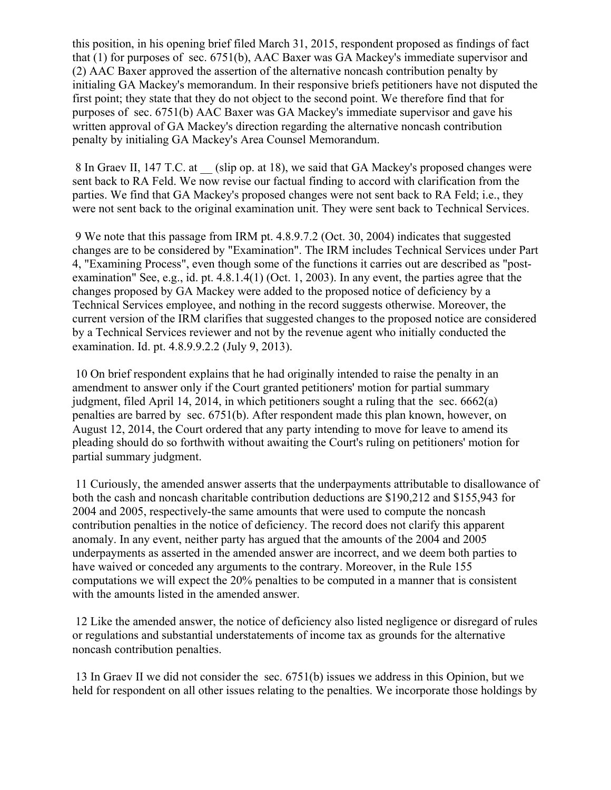this position, in his opening brief filed March 31, 2015, respondent proposed as findings of fact that (1) for purposes of sec. 6751(b), AAC Baxer was GA Mackey's immediate supervisor and (2) AAC Baxer approved the assertion of the alternative noncash contribution penalty by initialing GA Mackey's memorandum. In their responsive briefs petitioners have not disputed the first point; they state that they do not object to the second point. We therefore find that for purposes of sec. 6751(b) AAC Baxer was GA Mackey's immediate supervisor and gave his written approval of GA Mackey's direction regarding the alternative noncash contribution penalty by initialing GA Mackey's Area Counsel Memorandum.

8 In Graev II, 147 T.C. at (slip op. at 18), we said that GA Mackey's proposed changes were sent back to RA Feld. We now revise our factual finding to accord with clarification from the parties. We find that GA Mackey's proposed changes were not sent back to RA Feld; i.e., they were not sent back to the original examination unit. They were sent back to Technical Services.

9 We note that this passage from IRM pt. 4.8.9.7.2 (Oct. 30, 2004) indicates that suggested changes are to be considered by "Examination". The IRM includes Technical Services under Part 4, "Examining Process", even though some of the functions it carries out are described as "postexamination" See, e.g., id. pt.  $4.8.1.4(1)$  (Oct. 1, 2003). In any event, the parties agree that the changes proposed by GA Mackey were added to the proposed notice of deficiency by a Technical Services employee, and nothing in the record suggests otherwise. Moreover, the current version of the IRM clarifies that suggested changes to the proposed notice are considered by a Technical Services reviewer and not by the revenue agent who initially conducted the examination. Id. pt. 4.8.9.9.2.2 (July 9, 2013).

10 On brief respondent explains that he had originally intended to raise the penalty in an amendment to answer only if the Court granted petitioners' motion for partial summary judgment, filed April 14, 2014, in which petitioners sought a ruling that the sec. 6662(a) penalties are barred by sec. 6751(b). After respondent made this plan known, however, on August 12, 2014, the Court ordered that any party intending to move for leave to amend its pleading should do so forthwith without awaiting the Court's ruling on petitioners' motion for partial summary judgment.

11 Curiously, the amended answer asserts that the underpayments attributable to disallowance of both the cash and noncash charitable contribution deductions are \$190,212 and \$155,943 for 2004 and 2005, respectively-the same amounts that were used to compute the noncash contribution penalties in the notice of deficiency. The record does not clarify this apparent anomaly. In any event, neither party has argued that the amounts of the 2004 and 2005 underpayments as asserted in the amended answer are incorrect, and we deem both parties to have waived or conceded any arguments to the contrary. Moreover, in the Rule 155 computations we will expect the 20% penalties to be computed in a manner that is consistent with the amounts listed in the amended answer.

12 Like the amended answer, the notice of deficiency also listed negligence or disregard of rules or regulations and substantial understatements of income tax as grounds for the alternative noncash contribution penalties.

13 In Graev II we did not consider the sec. 6751(b) issues we address in this Opinion, but we held for respondent on all other issues relating to the penalties. We incorporate those holdings by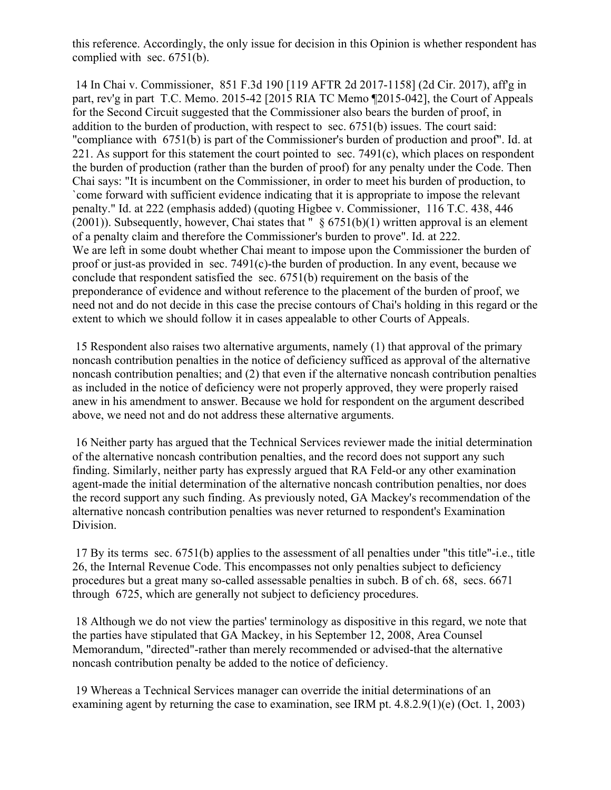this reference. Accordingly, the only issue for decision in this Opinion is whether respondent has complied with sec. 6751(b).

14 In Chai v. Commissioner, 851 F.3d 190 [119 AFTR 2d 2017-1158] (2d Cir. 2017), aff'g in part, rev'g in part T.C. Memo. 2015-42 [2015 RIA TC Memo ¶2015-042], the Court of Appeals for the Second Circuit suggested that the Commissioner also bears the burden of proof, in addition to the burden of production, with respect to sec. 6751(b) issues. The court said: "compliance with 6751(b) is part of the Commissioner's burden of production and proof". Id. at 221. As support for this statement the court pointed to sec.  $7491(c)$ , which places on respondent the burden of production (rather than the burden of proof) for any penalty under the Code. Then Chai says: "It is incumbent on the Commissioner, in order to meet his burden of production, to `come forward with sufficient evidence indicating that it is appropriate to impose the relevant penalty." Id. at 222 (emphasis added) (quoting Higbee v. Commissioner, 116 T.C. 438, 446 (2001)). Subsequently, however, Chai states that "  $\S 6751(b)(1)$  written approval is an element of a penalty claim and therefore the Commissioner's burden to prove". Id. at 222. We are left in some doubt whether Chai meant to impose upon the Commissioner the burden of proof or just-as provided in sec. 7491(c)-the burden of production. In any event, because we conclude that respondent satisfied the sec. 6751(b) requirement on the basis of the preponderance of evidence and without reference to the placement of the burden of proof, we need not and do not decide in this case the precise contours of Chai's holding in this regard or the extent to which we should follow it in cases appealable to other Courts of Appeals.

15 Respondent also raises two alternative arguments, namely (1) that approval of the primary noncash contribution penalties in the notice of deficiency sufficed as approval of the alternative noncash contribution penalties; and (2) that even if the alternative noncash contribution penalties as included in the notice of deficiency were not properly approved, they were properly raised anew in his amendment to answer. Because we hold for respondent on the argument described above, we need not and do not address these alternative arguments.

16 Neither party has argued that the Technical Services reviewer made the initial determination of the alternative noncash contribution penalties, and the record does not support any such finding. Similarly, neither party has expressly argued that RA Feld-or any other examination agent-made the initial determination of the alternative noncash contribution penalties, nor does the record support any such finding. As previously noted, GA Mackey's recommendation of the alternative noncash contribution penalties was never returned to respondent's Examination Division.

17 By its terms sec. 6751(b) applies to the assessment of all penalties under "this title"-i.e., title 26, the Internal Revenue Code. This encompasses not only penalties subject to deficiency procedures but a great many so-called assessable penalties in subch. B of ch. 68, secs. 6671 through 6725, which are generally not subject to deficiency procedures.

18 Although we do not view the parties' terminology as dispositive in this regard, we note that the parties have stipulated that GA Mackey, in his September 12, 2008, Area Counsel Memorandum, "directed"-rather than merely recommended or advised-that the alternative noncash contribution penalty be added to the notice of deficiency.

19 Whereas a Technical Services manager can override the initial determinations of an examining agent by returning the case to examination, see IRM pt. 4.8.2.9(1)(e) (Oct. 1, 2003)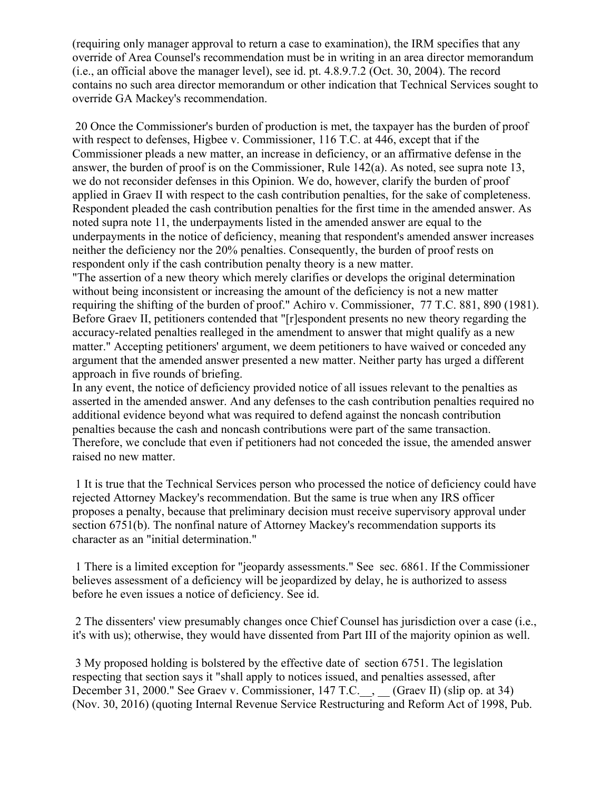(requiring only manager approval to return a case to examination), the IRM specifies that any override of Area Counsel's recommendation must be in writing in an area director memorandum (i.e., an official above the manager level), see id. pt. 4.8.9.7.2 (Oct. 30, 2004). The record contains no such area director memorandum or other indication that Technical Services sought to override GA Mackey's recommendation.

20 Once the Commissioner's burden of production is met, the taxpayer has the burden of proof with respect to defenses, Higbee v. Commissioner, 116 T.C. at 446, except that if the Commissioner pleads a new matter, an increase in deficiency, or an affirmative defense in the answer, the burden of proof is on the Commissioner, Rule 142(a). As noted, see supra note 13, we do not reconsider defenses in this Opinion. We do, however, clarify the burden of proof applied in Graev II with respect to the cash contribution penalties, for the sake of completeness. Respondent pleaded the cash contribution penalties for the first time in the amended answer. As noted supra note 11, the underpayments listed in the amended answer are equal to the underpayments in the notice of deficiency, meaning that respondent's amended answer increases neither the deficiency nor the 20% penalties. Consequently, the burden of proof rests on respondent only if the cash contribution penalty theory is a new matter.

"The assertion of a new theory which merely clarifies or develops the original determination without being inconsistent or increasing the amount of the deficiency is not a new matter requiring the shifting of the burden of proof." Achiro v. Commissioner, 77 T.C. 881, 890 (1981). Before Graev II, petitioners contended that "[r]espondent presents no new theory regarding the accuracy-related penalties realleged in the amendment to answer that might qualify as a new matter." Accepting petitioners' argument, we deem petitioners to have waived or conceded any argument that the amended answer presented a new matter. Neither party has urged a different approach in five rounds of briefing.

In any event, the notice of deficiency provided notice of all issues relevant to the penalties as asserted in the amended answer. And any defenses to the cash contribution penalties required no additional evidence beyond what was required to defend against the noncash contribution penalties because the cash and noncash contributions were part of the same transaction. Therefore, we conclude that even if petitioners had not conceded the issue, the amended answer raised no new matter.

1 It is true that the Technical Services person who processed the notice of deficiency could have rejected Attorney Mackey's recommendation. But the same is true when any IRS officer proposes a penalty, because that preliminary decision must receive supervisory approval under section 6751(b). The nonfinal nature of Attorney Mackey's recommendation supports its character as an "initial determination."

1 There is a limited exception for "jeopardy assessments." See sec. 6861. If the Commissioner believes assessment of a deficiency will be jeopardized by delay, he is authorized to assess before he even issues a notice of deficiency. See id.

2 The dissenters' view presumably changes once Chief Counsel has jurisdiction over a case (i.e., it's with us); otherwise, they would have dissented from Part III of the majority opinion as well.

3 My proposed holding is bolstered by the effective date of section 6751. The legislation respecting that section says it "shall apply to notices issued, and penalties assessed, after December 31, 2000." See Graev v. Commissioner, 147 T.C.\_\_, \_\_ (Graev II) (slip op. at 34) (Nov. 30, 2016) (quoting Internal Revenue Service Restructuring and Reform Act of 1998, Pub.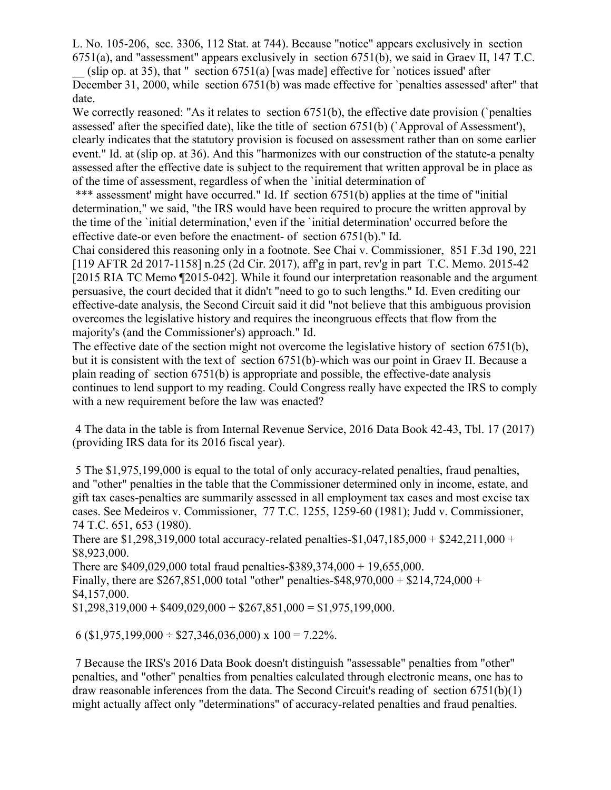L. No. 105-206, sec. 3306, 112 Stat. at 744). Because "notice" appears exclusively in section 6751(a), and "assessment" appears exclusively in section 6751(b), we said in Graev II, 147 T.C.

(slip op. at 35), that " section  $6751(a)$  [was made] effective for `notices issued' after December 31, 2000, while section 6751(b) was made effective for `penalties assessed' after" that date.

We correctly reasoned: "As it relates to section 6751(b), the effective date provision (`penalties assessed' after the specified date), like the title of section 6751(b) (`Approval of Assessment'), clearly indicates that the statutory provision is focused on assessment rather than on some earlier event." Id. at (slip op. at 36). And this "harmonizes with our construction of the statute-a penalty assessed after the effective date is subject to the requirement that written approval be in place as of the time of assessment, regardless of when the `initial determination of

\*\*\* assessment' might have occurred." Id. If section 6751(b) applies at the time of "initial determination," we said, "the IRS would have been required to procure the written approval by the time of the `initial determination,' even if the `initial determination' occurred before the effective date-or even before the enactment- of section 6751(b)." Id.

Chai considered this reasoning only in a footnote. See Chai v. Commissioner, 851 F.3d 190, 221 [119 AFTR 2d 2017-1158] n.25 (2d Cir. 2017), aff'g in part, rev'g in part T.C. Memo. 2015-42 [2015 RIA TC Memo ¶2015-042]. While it found our interpretation reasonable and the argument persuasive, the court decided that it didn't "need to go to such lengths." Id. Even crediting our effective-date analysis, the Second Circuit said it did "not believe that this ambiguous provision overcomes the legislative history and requires the incongruous effects that flow from the majority's (and the Commissioner's) approach." Id.

The effective date of the section might not overcome the legislative history of section 6751(b), but it is consistent with the text of section 6751(b)-which was our point in Graev II. Because a plain reading of section 6751(b) is appropriate and possible, the effective-date analysis continues to lend support to my reading. Could Congress really have expected the IRS to comply with a new requirement before the law was enacted?

4 The data in the table is from Internal Revenue Service, 2016 Data Book 42-43, Tbl. 17 (2017) (providing IRS data for its 2016 fiscal year).

5 The \$1,975,199,000 is equal to the total of only accuracy-related penalties, fraud penalties, and "other" penalties in the table that the Commissioner determined only in income, estate, and gift tax cases-penalties are summarily assessed in all employment tax cases and most excise tax cases. See Medeiros v. Commissioner, 77 T.C. 1255, 1259-60 (1981); Judd v. Commissioner, 74 T.C. 651, 653 (1980).

There are \$1,298,319,000 total accuracy-related penalties-\$1,047,185,000 + \$242,211,000 + \$8,923,000.

There are \$409,029,000 total fraud penalties-\$389,374,000 + 19,655,000. Finally, there are \$267,851,000 total "other" penalties-\$48,970,000 + \$214,724,000 + \$4,157,000.

 $$1,298,319,000 + $409,029,000 + $267,851,000 = $1,975,199,000.$ 

6 (\$1,975,199,000 ÷ \$27,346,036,000) x 100 = 7.22%.

7 Because the IRS's 2016 Data Book doesn't distinguish "assessable" penalties from "other" penalties, and "other" penalties from penalties calculated through electronic means, one has to draw reasonable inferences from the data. The Second Circuit's reading of section 6751(b)(1) might actually affect only "determinations" of accuracy-related penalties and fraud penalties.